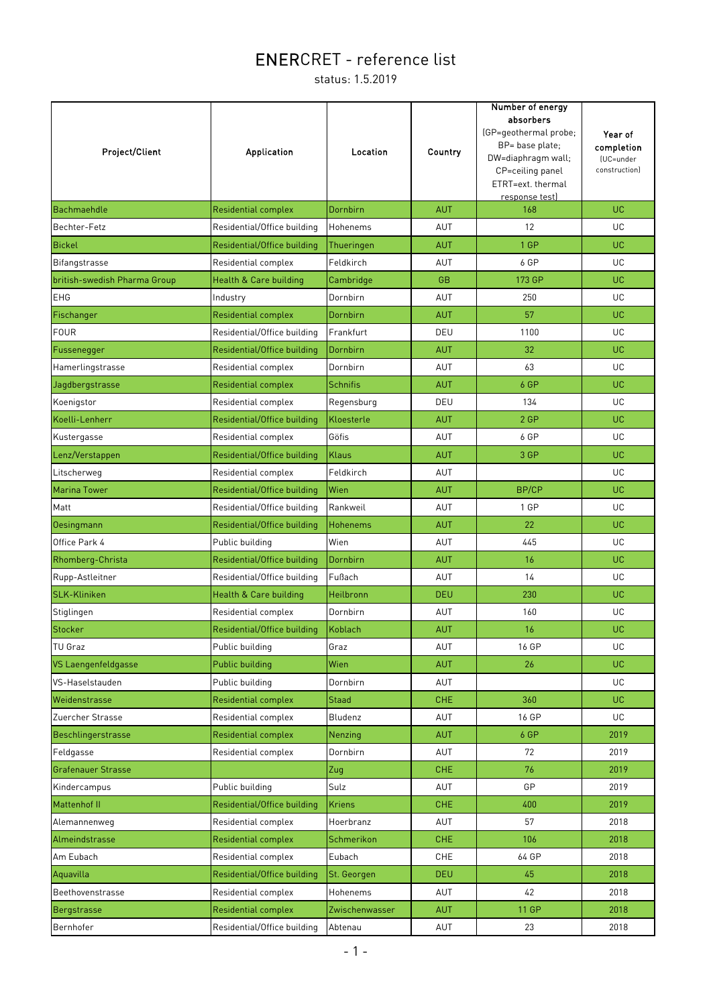| Project/Client               | Application                 | Location        | Country    | Number of energy<br>absorbers<br>(GP=geothermal probe;<br>BP= base plate;<br>DW=diaphragm wall;<br>CP=ceiling panel<br>ETRT=ext. thermal<br>response test) | Year of<br>completion<br>(UC=under<br>construction) |
|------------------------------|-----------------------------|-----------------|------------|------------------------------------------------------------------------------------------------------------------------------------------------------------|-----------------------------------------------------|
| <b>Bachmaehdle</b>           | <b>Residential complex</b>  | Dornbirn        | <b>AUT</b> | 168                                                                                                                                                        | UC.                                                 |
| Bechter-Fetz                 | Residential/Office building | Hohenems        | AUT        | 12                                                                                                                                                         | UC.                                                 |
| <b>Bickel</b>                | Residential/Office building | Thueringen      | <b>AUT</b> | 1 GP                                                                                                                                                       | UC.                                                 |
| Bifangstrasse                | Residential complex         | Feldkirch       | <b>AUT</b> | 6 GP                                                                                                                                                       | UC.                                                 |
| british-swedish Pharma Group | Health & Care building      | Cambridge       | <b>GB</b>  | 173 GP                                                                                                                                                     | UC.                                                 |
| EHG                          | Industry                    | Dornbirn        | AUT        | 250                                                                                                                                                        | UC.                                                 |
| Fischanger                   | <b>Residential complex</b>  | Dornbirn        | <b>AUT</b> | 57                                                                                                                                                         | UC.                                                 |
| <b>FOUR</b>                  | Residential/Office building | Frankfurt       | DEU        | 1100                                                                                                                                                       | UC.                                                 |
| Fussenegger                  | Residential/Office building | Dornbirn        | <b>AUT</b> | 32                                                                                                                                                         | UC.                                                 |
| Hamerlingstrasse             | Residential complex         | Dornbirn        | AUT        | 63                                                                                                                                                         | UC                                                  |
| Jagdbergstrasse              | <b>Residential complex</b>  | <b>Schnifis</b> | <b>AUT</b> | 6 GP                                                                                                                                                       | UC.                                                 |
| Koenigstor                   | Residential complex         | Regensburg      | DEU        | 134                                                                                                                                                        | UC                                                  |
| Koelli-Lenherr               | Residential/Office building | Kloesterle      | <b>AUT</b> | 2 GP                                                                                                                                                       | UC.                                                 |
| Kustergasse                  | Residential complex         | Göfis           | AUT        | 6 GP                                                                                                                                                       | UC                                                  |
| Lenz/Verstappen              | Residential/Office building | <b>Klaus</b>    | <b>AUT</b> | 3 GP                                                                                                                                                       | UC.                                                 |
| Litscherweg                  | Residential complex         | Feldkirch       | AUT        |                                                                                                                                                            | UC.                                                 |
| <b>Marina Tower</b>          | Residential/Office building | Wien            | <b>AUT</b> | BP/CP                                                                                                                                                      | UC.                                                 |
| Matt                         | Residential/Office building | Rankweil        | AUT        | 1 GP                                                                                                                                                       | UC.                                                 |
| Oesingmann                   | Residential/Office building | <b>Hohenems</b> | <b>AUT</b> | 22                                                                                                                                                         | UC.                                                 |
| Office Park 4                | Public building             | Wien            | AUT        | 445                                                                                                                                                        | UC.                                                 |
| Rhomberg-Christa             | Residential/Office building | Dornbirn        | <b>AUT</b> | 16                                                                                                                                                         | UC.                                                 |
| Rupp-Astleitner              | Residential/Office building | Fußach          | AUT        | 14                                                                                                                                                         | UC.                                                 |
| <b>SLK-Kliniken</b>          | Health & Care building      | Heilbronn       | <b>DEU</b> | 230                                                                                                                                                        | UC.                                                 |
| Stiglingen                   | Residential complex         | Dornbirn        | AUT        | 160                                                                                                                                                        | UC.                                                 |
| Stocker                      | Residential/Office building | Koblach         | <b>AUT</b> | 16                                                                                                                                                         | UC.                                                 |
| TU Graz                      | Public building             | Graz            | <b>AUT</b> | 16 GP                                                                                                                                                      | UC.                                                 |
| VS Laengenfeldgasse          | Public building             | Wien            | <b>AUT</b> | 26                                                                                                                                                         | UC.                                                 |
| VS-Haselstauden              | Public building             | Dornbirn        | <b>AUT</b> |                                                                                                                                                            | UC.                                                 |
| Weidenstrasse                | <b>Residential complex</b>  | <b>Staad</b>    | CHE        | 360                                                                                                                                                        | UC.                                                 |
| Zuercher Strasse             | Residential complex         | Bludenz         | AUT        | 16 GP                                                                                                                                                      | UC.                                                 |
| Beschlingerstrasse           | <b>Residential complex</b>  | <b>Nenzing</b>  | <b>AUT</b> | 6 GP                                                                                                                                                       | 2019                                                |
| Feldgasse                    | Residential complex         | Dornbirn        | AUT        | 72                                                                                                                                                         | 2019                                                |
| <b>Grafenauer Strasse</b>    |                             | Zug             | <b>CHE</b> | 76                                                                                                                                                         | 2019                                                |
| Kindercampus                 | Public building             | Sulz            | AUT        | GP                                                                                                                                                         | 2019                                                |
| Mattenhof II                 | Residential/Office building | <b>Kriens</b>   | CHE        | 400                                                                                                                                                        | 2019                                                |
| Alemannenweg                 | Residential complex         | Hoerbranz       | AUT        | 57                                                                                                                                                         | 2018                                                |
| Almeindstrasse               | <b>Residential complex</b>  | Schmerikon      | CHE.       | 106                                                                                                                                                        | 2018                                                |
| Am Eubach                    | Residential complex         | Eubach          | <b>CHE</b> | 64 GP                                                                                                                                                      | 2018                                                |
| Aquavilla                    | Residential/Office building | St. Georgen     | <b>DEU</b> | 45                                                                                                                                                         | 2018                                                |
| Beethovenstrasse             | Residential complex         | Hohenems        | AUT        | 42                                                                                                                                                         | 2018                                                |
| Bergstrasse                  | <b>Residential complex</b>  | Zwischenwasser  | <b>AUT</b> | 11 GP                                                                                                                                                      | 2018                                                |
| Bernhofer                    | Residential/Office building | Abtenau         | AUT        | 23                                                                                                                                                         | 2018                                                |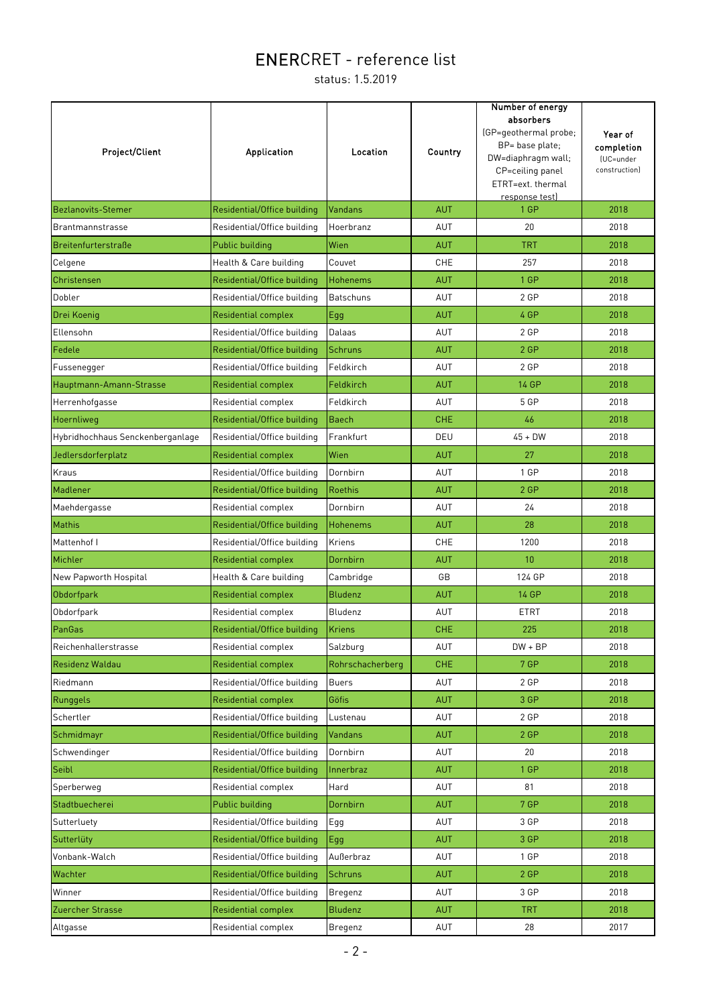| Project/Client                   | <b>Application</b>          | Location         | Country    | Number of energy<br>absorbers<br>(GP=geothermal probe;<br>BP= base plate;<br>DW=diaphragm wall;<br>CP=ceiling panel<br>ETRT=ext. thermal<br>response test) | Year of<br>completion<br>(UC=under<br>construction) |
|----------------------------------|-----------------------------|------------------|------------|------------------------------------------------------------------------------------------------------------------------------------------------------------|-----------------------------------------------------|
| <b>Bezlanovits-Stemer</b>        | Residential/Office building | <b>Vandans</b>   | <b>AUT</b> | 1 GP                                                                                                                                                       | 2018                                                |
| <b>Brantmannstrasse</b>          | Residential/Office building | Hoerbranz        | AUT        | 20                                                                                                                                                         | 2018                                                |
| Breitenfurterstraße              | <b>Public building</b>      | Wien             | <b>AUT</b> | <b>TRT</b>                                                                                                                                                 | 2018                                                |
| Celgene                          | Health & Care building      | Couvet           | CHE        | 257                                                                                                                                                        | 2018                                                |
| Christensen                      | Residential/Office building | <b>Hohenems</b>  | <b>AUT</b> | 1 GP                                                                                                                                                       | 2018                                                |
| Dobler                           | Residential/Office building | <b>Batschuns</b> | AUT        | 2 GP                                                                                                                                                       | 2018                                                |
| Drei Koenig                      | <b>Residential complex</b>  | Egg              | <b>AUT</b> | 4 GP                                                                                                                                                       | 2018                                                |
| Ellensohn                        | Residential/Office building | Dalaas           | <b>AUT</b> | 2 GP                                                                                                                                                       | 2018                                                |
| Fedele                           | Residential/Office building | <b>Schruns</b>   | <b>AUT</b> | 2 GP                                                                                                                                                       | 2018                                                |
| Fussenegger                      | Residential/Office building | Feldkirch        | AUT        | 2 GP                                                                                                                                                       | 2018                                                |
| Hauptmann-Amann-Strasse          | <b>Residential complex</b>  | Feldkirch        | <b>AUT</b> | <b>14 GP</b>                                                                                                                                               | 2018                                                |
| Herrenhofgasse                   | Residential complex         | Feldkirch        | AUT        | 5 GP                                                                                                                                                       | 2018                                                |
| Hoernliweg                       | Residential/Office building | <b>Baech</b>     | <b>CHE</b> | 46                                                                                                                                                         | 2018                                                |
| Hybridhochhaus Senckenberganlage | Residential/Office building | Frankfurt        | DEU        | $45 + DW$                                                                                                                                                  | 2018                                                |
| Jedlersdorferplatz               | Residential complex         | Wien             | <b>AUT</b> | 27                                                                                                                                                         | 2018                                                |
| Kraus                            | Residential/Office building | Dornbirn         | AUT        | 1 GP                                                                                                                                                       | 2018                                                |
| Madlener                         | Residential/Office building | <b>Roethis</b>   | <b>AUT</b> | 2 GP                                                                                                                                                       | 2018                                                |
| Maehdergasse                     | Residential complex         | Dornbirn         | AUT        | 24                                                                                                                                                         | 2018                                                |
| Mathis                           | Residential/Office building | Hohenems         | <b>AUT</b> | 28                                                                                                                                                         | 2018                                                |
| Mattenhof I                      | Residential/Office building | Kriens           | CHE        | 1200                                                                                                                                                       | 2018                                                |
| Michler                          | <b>Residential complex</b>  | Dornbirn         | <b>AUT</b> | 10                                                                                                                                                         | 2018                                                |
| New Papworth Hospital            | Health & Care building      | Cambridge        | GB         | 124 GP                                                                                                                                                     | 2018                                                |
| Obdorfpark                       | Residential complex         | <b>Bludenz</b>   | <b>AUT</b> | <b>14 GP</b>                                                                                                                                               | 2018                                                |
| Obdorfpark                       | Residential complex         | Bludenz          | AUT        | ETRT                                                                                                                                                       | 2018                                                |
| PanGas                           | Residential/Office building | <b>Kriens</b>    | <b>CHE</b> | 225                                                                                                                                                        | 2018                                                |
| Reichenhallerstrasse             | Residential complex         | Salzburg         | AUT        | $DW + BP$                                                                                                                                                  | 2018                                                |
| Residenz Waldau                  | <b>Residential complex</b>  | Rohrschacherberg | <b>CHE</b> | 7 GP                                                                                                                                                       | 2018                                                |
| Riedmann                         | Residential/Office building | <b>Buers</b>     | AUT        | 2 GP                                                                                                                                                       | 2018                                                |
| Runggels                         | Residential complex         | Göfis            | <b>AUT</b> | 3 GP                                                                                                                                                       | 2018                                                |
| Schertler                        | Residential/Office building | Lustenau         | AUT        | 2 GP                                                                                                                                                       | 2018                                                |
| Schmidmayr                       | Residential/Office building | <b>Vandans</b>   | <b>AUT</b> | 2 GP                                                                                                                                                       | 2018                                                |
| Schwendinger                     | Residential/Office building | Dornbirn         | AUT        | 20                                                                                                                                                         | 2018                                                |
| Seibl                            | Residential/Office building | Innerbraz        | <b>AUT</b> | 1 GP                                                                                                                                                       | 2018                                                |
| Sperberweg                       | Residential complex         | Hard             | AUT        | 81                                                                                                                                                         | 2018                                                |
| Stadtbuecherei                   | Public building             | Dornbirn         | <b>AUT</b> | 7 GP                                                                                                                                                       | 2018                                                |
| Sutterluety                      | Residential/Office building | Egg              | AUT        | 3 GP                                                                                                                                                       | 2018                                                |
| Sutterlüty                       | Residential/Office building | Egg              | <b>AUT</b> | 3 GP                                                                                                                                                       | 2018                                                |
| Vonbank-Walch                    | Residential/Office building | Außerbraz        | AUT        | 1 GP                                                                                                                                                       | 2018                                                |
| Wachter                          | Residential/Office building | <b>Schruns</b>   | <b>AUT</b> | 2 GP                                                                                                                                                       | 2018                                                |
| Winner                           | Residential/Office building | Bregenz          | AUT        | 3 GP                                                                                                                                                       | 2018                                                |
| Zuercher Strasse                 | Residential complex         | <b>Bludenz</b>   | <b>AUT</b> | <b>TRT</b>                                                                                                                                                 | 2018                                                |
| Altgasse                         | Residential complex         | Bregenz          | AUT        | 28                                                                                                                                                         | 2017                                                |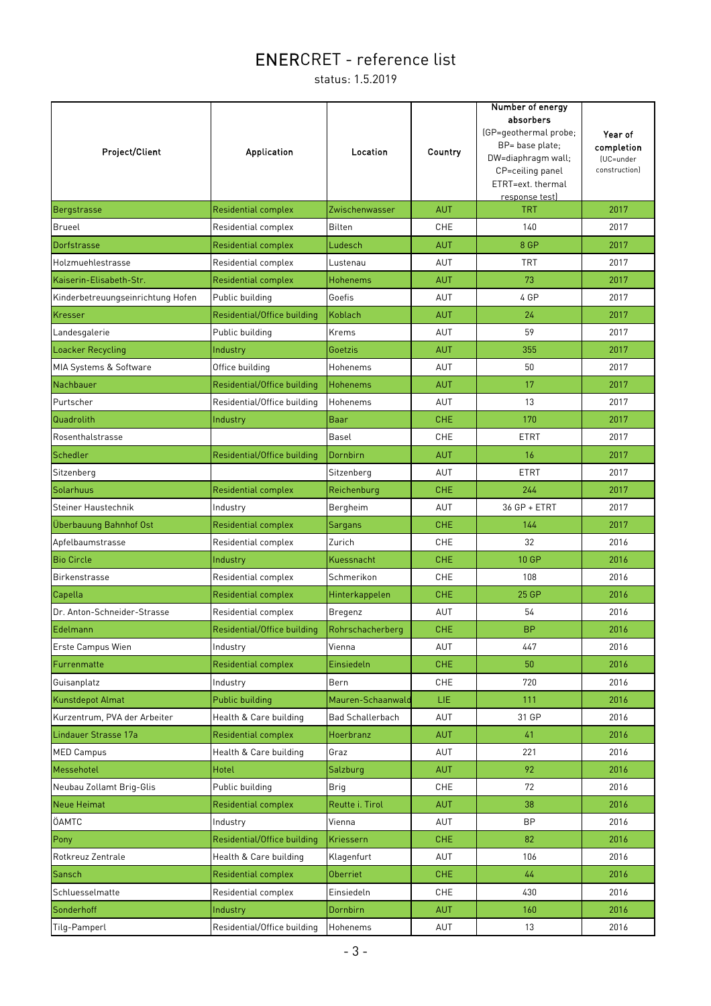| Project/Client                    | <b>Application</b>          | Location                | Country    | Number of energy<br>absorbers<br>(GP=geothermal probe;<br>BP= base plate;<br>DW=diaphragm wall;<br>CP=ceiling panel<br>ETRT=ext. thermal<br>response test) | Year of<br>completion<br>(UC=under<br>construction) |
|-----------------------------------|-----------------------------|-------------------------|------------|------------------------------------------------------------------------------------------------------------------------------------------------------------|-----------------------------------------------------|
| Bergstrasse                       | <b>Residential complex</b>  | Zwischenwasser          | <b>AUT</b> | <b>TRT</b>                                                                                                                                                 | 2017                                                |
| Brueel                            | Residential complex         | <b>Bilten</b>           | <b>CHE</b> | 140                                                                                                                                                        | 2017                                                |
| Dorfstrasse                       | Residential complex         | Ludesch                 | <b>AUT</b> | 8 GP                                                                                                                                                       | 2017                                                |
| Holzmuehlestrasse                 | Residential complex         | Lustenau                | <b>AUT</b> | <b>TRT</b>                                                                                                                                                 | 2017                                                |
| Kaiserin-Elisabeth-Str.           | <b>Residential complex</b>  | <b>Hohenems</b>         | <b>AUT</b> | 73                                                                                                                                                         | 2017                                                |
| Kinderbetreuungseinrichtung Hofen | Public building             | Goefis                  | AUT        | 4 GP                                                                                                                                                       | 2017                                                |
| Kresser                           | Residential/Office building | Koblach                 | <b>AUT</b> | 24                                                                                                                                                         | 2017                                                |
| Landesgalerie                     | Public building             | Krems                   | AUT        | 59                                                                                                                                                         | 2017                                                |
| Loacker Recycling                 | Industry                    | Goetzis                 | <b>AUT</b> | 355                                                                                                                                                        | 2017                                                |
| MIA Systems & Software            | Office building             | Hohenems                | AUT        | 50                                                                                                                                                         | 2017                                                |
| Nachbauer                         | Residential/Office building | <b>Hohenems</b>         | <b>AUT</b> | 17                                                                                                                                                         | 2017                                                |
| Purtscher                         | Residential/Office building | Hohenems                | AUT        | 13                                                                                                                                                         | 2017                                                |
| Quadrolith                        | Industry                    | Baar                    | <b>CHE</b> | 170                                                                                                                                                        | 2017                                                |
| Rosenthalstrasse                  |                             | Basel                   | CHE        | <b>ETRT</b>                                                                                                                                                | 2017                                                |
| Schedler                          | Residential/Office building | Dornbirn                | <b>AUT</b> | 16                                                                                                                                                         | 2017                                                |
| Sitzenberg                        |                             | Sitzenberg              | AUT        | <b>ETRT</b>                                                                                                                                                | 2017                                                |
| Solarhuus                         | <b>Residential complex</b>  | Reichenburg             | <b>CHE</b> | 244                                                                                                                                                        | 2017                                                |
| Steiner Haustechnik               | Industry                    | Bergheim                | AUT        | 36 GP + ETRT                                                                                                                                               | 2017                                                |
| Überbauung Bahnhof Ost            | <b>Residential complex</b>  | Sargans                 | <b>CHE</b> | 144                                                                                                                                                        | 2017                                                |
| Apfelbaumstrasse                  | Residential complex         | Zurich                  | <b>CHE</b> | 32                                                                                                                                                         | 2016                                                |
| <b>Bio Circle</b>                 | Industry                    | Kuessnacht              | <b>CHE</b> | 10 GP                                                                                                                                                      | 2016                                                |
| <b>Birkenstrasse</b>              | Residential complex         | Schmerikon              | <b>CHE</b> | 108                                                                                                                                                        | 2016                                                |
| Capella                           | <b>Residential complex</b>  | Hinterkappelen          | <b>CHE</b> | 25 GP                                                                                                                                                      | 2016                                                |
| Dr. Anton-Schneider-Strasse       | Residential complex         | Bregenz                 | AUT        | 54                                                                                                                                                         | 2016                                                |
| Edelmann                          | Residential/Office building | Rohrschacherberg        | <b>CHE</b> | <b>BP</b>                                                                                                                                                  | 2016                                                |
| Erste Campus Wien                 | Industry                    | Vienna                  | AUT        | 447                                                                                                                                                        | 2016                                                |
| Furrenmatte                       | <b>Residential complex</b>  | Einsiedeln              | <b>CHE</b> | 50                                                                                                                                                         | 2016                                                |
| Guisanplatz                       | Industry                    | Bern                    | CHE        | 720                                                                                                                                                        | 2016                                                |
| <b>Kunstdepot Almat</b>           | Public building             | Mauren-Schaanwald       | LIE.       | 111                                                                                                                                                        | 2016                                                |
| Kurzentrum, PVA der Arbeiter      | Health & Care building      | <b>Bad Schallerbach</b> | <b>AUT</b> | 31 GP                                                                                                                                                      | 2016                                                |
| Lindauer Strasse 17a              | <b>Residential complex</b>  | Hoerbranz               | <b>AUT</b> | 41                                                                                                                                                         | 2016                                                |
| <b>MED Campus</b>                 | Health & Care building      | Graz                    | AUT        | 221                                                                                                                                                        | 2016                                                |
| Messehotel                        | Hotel                       | Salzburg                | <b>AUT</b> | 92                                                                                                                                                         | 2016                                                |
| Neubau Zollamt Brig-Glis          | Public building             | <b>Brig</b>             | CHE        | 72                                                                                                                                                         | 2016                                                |
| Neue Heimat                       | <b>Residential complex</b>  | Reutte i. Tirol         | <b>AUT</b> | 38                                                                                                                                                         | 2016                                                |
| ÖAMTC                             | Industry                    | Vienna                  | <b>AUT</b> | ΒP                                                                                                                                                         | 2016                                                |
| Pony                              | Residential/Office building | Kriessern               | <b>CHE</b> | 82                                                                                                                                                         | 2016                                                |
| Rotkreuz Zentrale                 | Health & Care building      | Klagenfurt              | AUT        | 106                                                                                                                                                        | 2016                                                |
| Sansch                            | <b>Residential complex</b>  | <b>Oberriet</b>         | <b>CHE</b> | 44                                                                                                                                                         | 2016                                                |
| Schluesselmatte                   | Residential complex         | Einsiedeln              | CHE        | 430                                                                                                                                                        | 2016                                                |
| Sonderhoff                        | Industry                    | Dornbirn                | <b>AUT</b> | 160                                                                                                                                                        | 2016                                                |
| Tilg-Pamperl                      | Residential/Office building | Hohenems                | AUT        | 13                                                                                                                                                         | 2016                                                |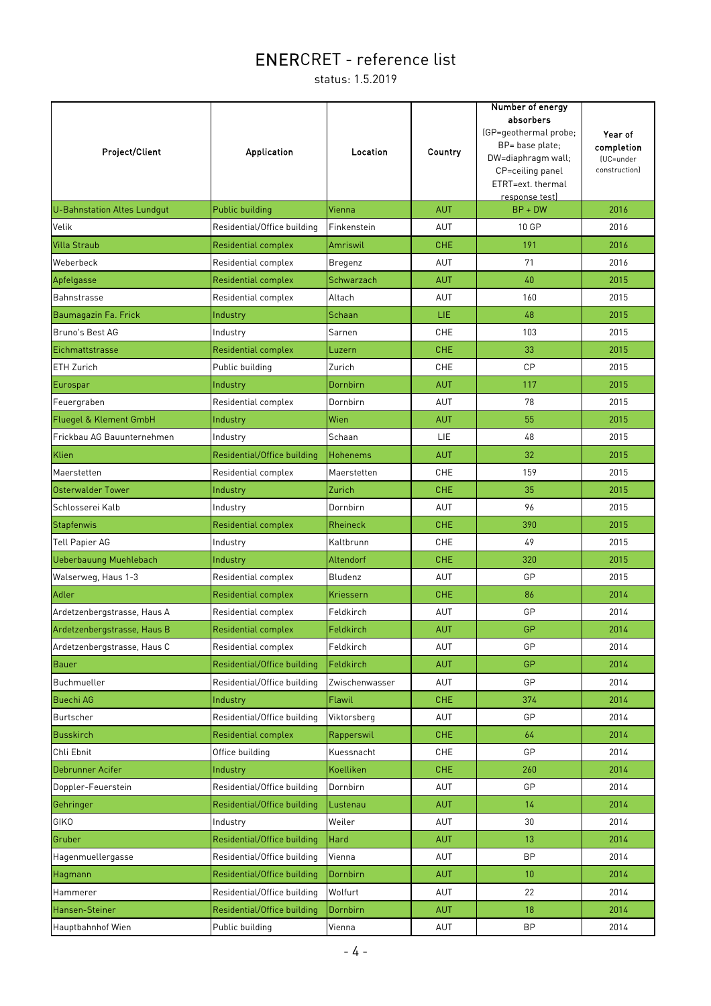| Project/Client                    | <b>Application</b>          | <b>Location</b> | Country    | Number of energy<br>absorbers<br>(GP=geothermal probe;<br>BP= base plate;<br>DW=diaphragm wall;<br>CP=ceiling panel<br>ETRT=ext. thermal<br>response test) | Year of<br>completion<br>(UC=under<br>construction) |
|-----------------------------------|-----------------------------|-----------------|------------|------------------------------------------------------------------------------------------------------------------------------------------------------------|-----------------------------------------------------|
| U-Bahnstation Altes Lundqut       | Public building             | Vienna          | <b>AUT</b> | $BP + DW$                                                                                                                                                  | 2016                                                |
| Velik                             | Residential/Office building | Finkenstein     | AUT        | 10 GP                                                                                                                                                      | 2016                                                |
| <b>Villa Straub</b>               | Residential complex         | Amriswil        | <b>CHE</b> | 191                                                                                                                                                        | 2016                                                |
| Weberbeck                         | Residential complex         | Bregenz         | AUT        | 71                                                                                                                                                         | 2016                                                |
| Apfelgasse                        | Residential complex         | Schwarzach      | <b>AUT</b> | 40                                                                                                                                                         | 2015                                                |
| Bahnstrasse                       | Residential complex         | Altach          | AUT        | 160                                                                                                                                                        | 2015                                                |
| Baumagazin Fa. Frick              | Industry                    | Schaan          | LIE.       | 48                                                                                                                                                         | 2015                                                |
| Bruno's Best AG                   | Industry                    | Sarnen          | <b>CHE</b> | 103                                                                                                                                                        | 2015                                                |
| Eichmattstrasse                   | Residential complex         | Luzern          | <b>CHE</b> | 33                                                                                                                                                         | 2015                                                |
| ETH Zurich                        | Public building             | Zurich          | <b>CHE</b> | CP                                                                                                                                                         | 2015                                                |
| Eurospar                          | Industry                    | Dornbirn        | <b>AUT</b> | 117                                                                                                                                                        | 2015                                                |
| Feuergraben                       | Residential complex         | Dornbirn        | <b>AUT</b> | 78                                                                                                                                                         | 2015                                                |
| <b>Fluegel &amp; Klement GmbH</b> | Industry                    | Wien            | <b>AUT</b> | 55                                                                                                                                                         | 2015                                                |
| Frickbau AG Bauunternehmen        | Industry                    | Schaan          | <b>LIE</b> | 48                                                                                                                                                         | 2015                                                |
| Klien                             | Residential/Office building | <b>Hohenems</b> | <b>AUT</b> | 32                                                                                                                                                         | 2015                                                |
| Maerstetten                       | Residential complex         | Maerstetten     | <b>CHE</b> | 159                                                                                                                                                        | 2015                                                |
| Osterwalder Tower                 | Industry                    | Zurich          | <b>CHE</b> | 35                                                                                                                                                         | 2015                                                |
| Schlosserei Kalb                  | Industry                    | Dornbirn        | AUT        | 96                                                                                                                                                         | 2015                                                |
| Stapfenwis                        | <b>Residential complex</b>  | <b>Rheineck</b> | <b>CHE</b> | 390                                                                                                                                                        | 2015                                                |
| <b>Tell Papier AG</b>             | Industry                    | Kaltbrunn       | <b>CHE</b> | 49                                                                                                                                                         | 2015                                                |
| <b>Ueberbauung Muehlebach</b>     | Industry                    | Altendorf       | <b>CHE</b> | 320                                                                                                                                                        | 2015                                                |
| Walserweg, Haus 1-3               | Residential complex         | Bludenz         | AUT        | GP                                                                                                                                                         | 2015                                                |
| Adler                             | <b>Residential complex</b>  | Kriessern       | <b>CHE</b> | 86                                                                                                                                                         | 2014                                                |
| Ardetzenbergstrasse, Haus A       | Residential complex         | Feldkirch       | AUT        | GP                                                                                                                                                         | 2014                                                |
| Ardetzenbergstrasse, Haus B       | Residential complex         | Feldkirch       | <b>AUT</b> | GP                                                                                                                                                         | 2014                                                |
| Ardetzenbergstrasse, Haus C       | Residential complex         | Feldkirch       | AUT        | GP                                                                                                                                                         | 2014                                                |
| Bauer                             | Residential/Office building | Feldkirch       | <b>AUT</b> | GP                                                                                                                                                         | 2014                                                |
| Buchmueller                       | Residential/Office building | Zwischenwasser  | AUT        | GP                                                                                                                                                         | 2014                                                |
| <b>Buechi AG</b>                  | Industry                    | Flawil          | <b>CHE</b> | 374                                                                                                                                                        | 2014                                                |
| Burtscher                         | Residential/Office building | Viktorsberg     | AUT        | GP                                                                                                                                                         | 2014                                                |
| <b>Busskirch</b>                  | <b>Residential complex</b>  | Rapperswil      | CHE.       | 64                                                                                                                                                         | 2014                                                |
| Chli Ebnit                        | Office building             | Kuessnacht      | CHE        | GP                                                                                                                                                         | 2014                                                |
| Debrunner Acifer                  | Industry                    | Koelliken       | <b>CHE</b> | 260                                                                                                                                                        | 2014                                                |
| Doppler-Feuerstein                | Residential/Office building | Dornbirn        | AUT        | GP                                                                                                                                                         | 2014                                                |
| Gehringer                         | Residential/Office building | Lustenau        | <b>AUT</b> | 14                                                                                                                                                         | 2014                                                |
| <b>GIKO</b>                       | Industry                    | Weiler          | AUT        | 30                                                                                                                                                         | 2014                                                |
| Gruber                            | Residential/Office building | Hard            | <b>AUT</b> | 13 <sup>°</sup>                                                                                                                                            | 2014                                                |
| Hagenmuellergasse                 | Residential/Office building | Vienna          | AUT        | <b>BP</b>                                                                                                                                                  | 2014                                                |
| Hagmann                           | Residential/Office building | Dornbirn        | <b>AUT</b> | 10 <sup>°</sup>                                                                                                                                            | 2014                                                |
| Hammerer                          | Residential/Office building | Wolfurt         | AUT        | 22                                                                                                                                                         | 2014                                                |
| Hansen-Steiner                    | Residential/Office building | Dornbirn        | <b>AUT</b> | 18                                                                                                                                                         | 2014                                                |
| Hauptbahnhof Wien                 | Public building             | Vienna          | AUT        | <b>BP</b>                                                                                                                                                  | 2014                                                |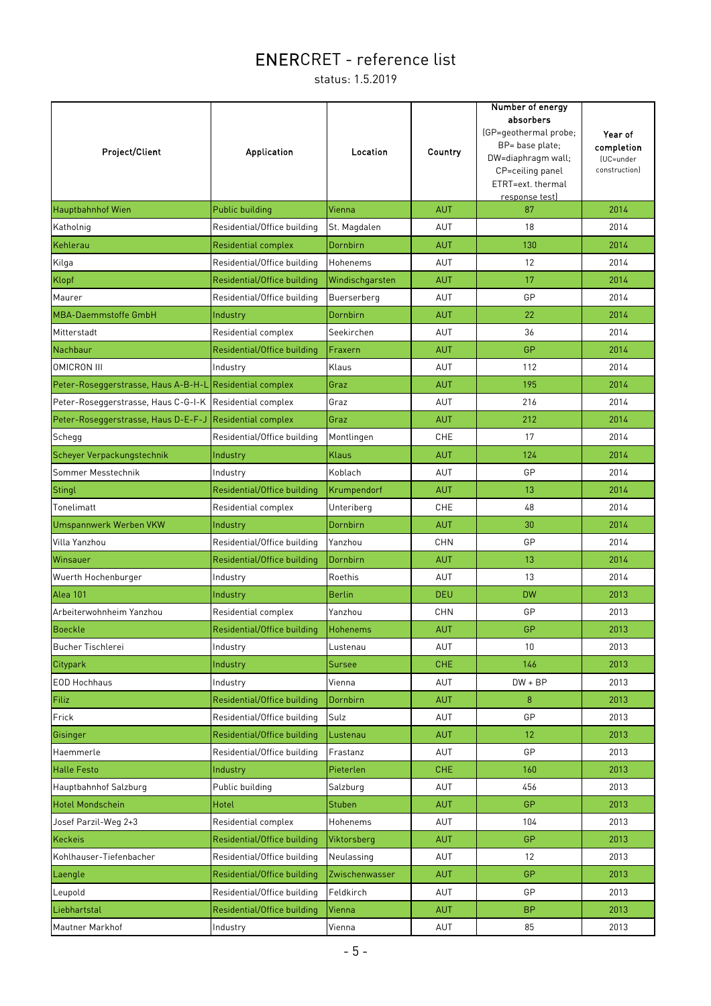| Project/Client                                          | Application                 | Location        | Country    | Number of energy<br>absorbers<br>(GP=geothermal probe;<br>BP= base plate;<br>DW=diaphragm wall;<br>CP=ceiling panel<br>ETRT=ext. thermal<br>response test) | Year of<br>completion<br>(UC=under<br>construction) |
|---------------------------------------------------------|-----------------------------|-----------------|------------|------------------------------------------------------------------------------------------------------------------------------------------------------------|-----------------------------------------------------|
| <b>Hauptbahnhof Wien</b>                                | Public building             | Vienna          | <b>AUT</b> | 87                                                                                                                                                         | 2014                                                |
| Katholnig                                               | Residential/Office building | St. Magdalen    | AUT        | 18                                                                                                                                                         | 2014                                                |
| Kehlerau                                                | <b>Residential complex</b>  | Dornbirn        | <b>AUT</b> | 130                                                                                                                                                        | 2014                                                |
| Kilga                                                   | Residential/Office building | Hohenems        | AUT        | 12                                                                                                                                                         | 2014                                                |
| Klopf                                                   | Residential/Office building | Windischgarsten | <b>AUT</b> | 17                                                                                                                                                         | 2014                                                |
| Maurer                                                  | Residential/Office building | Buerserberg     | AUT        | GP                                                                                                                                                         | 2014                                                |
| <b>MBA-Daemmstoffe GmbH</b>                             | Industry                    | Dornbirn        | <b>AUT</b> | 22                                                                                                                                                         | 2014                                                |
| Mitterstadt                                             | Residential complex         | Seekirchen      | AUT        | 36                                                                                                                                                         | 2014                                                |
| Nachbaur                                                | Residential/Office building | Fraxern         | <b>AUT</b> | GP                                                                                                                                                         | 2014                                                |
| <b>OMICRON III</b>                                      | Industry                    | Klaus           | AUT        | 112                                                                                                                                                        | 2014                                                |
| Peter-Roseggerstrasse, Haus A-B-H-L                     | <b>Residential complex</b>  | Graz            | <b>AUT</b> | 195                                                                                                                                                        | 2014                                                |
| Peter-Roseggerstrasse, Haus C-G-I-K Residential complex |                             | Graz            | AUT        | 216                                                                                                                                                        | 2014                                                |
| Peter-Roseggerstrasse, Haus D-E-F-J                     | <b>Residential complex</b>  | Graz            | <b>AUT</b> | 212                                                                                                                                                        | 2014                                                |
| Schegg                                                  | Residential/Office building | Montlingen      | CHE        | 17                                                                                                                                                         | 2014                                                |
| Scheyer Verpackungstechnik                              | Industry                    | <b>Klaus</b>    | <b>AUT</b> | 124                                                                                                                                                        | 2014                                                |
| Sommer Messtechnik                                      | Industry                    | Koblach         | AUT        | GP                                                                                                                                                         | 2014                                                |
| Stingl                                                  | Residential/Office building | Krumpendorf     | <b>AUT</b> | 13                                                                                                                                                         | 2014                                                |
| Tonelimatt                                              | Residential complex         | Unteriberg      | CHE        | 48                                                                                                                                                         | 2014                                                |
| <b>Umspannwerk Werben VKW</b>                           | Industry                    | Dornbirn        | <b>AUT</b> | 30                                                                                                                                                         | 2014                                                |
| Villa Yanzhou                                           | Residential/Office building | Yanzhou         | <b>CHN</b> | GP                                                                                                                                                         | 2014                                                |
| Winsauer                                                | Residential/Office building | Dornbirn        | <b>AUT</b> | 13                                                                                                                                                         | 2014                                                |
| Wuerth Hochenburger                                     | Industry                    | Roethis         | AUT        | 13                                                                                                                                                         | 2014                                                |
| Alea 101                                                | Industry                    | <b>Berlin</b>   | <b>DEU</b> | <b>DW</b>                                                                                                                                                  | 2013                                                |
| Arbeiterwohnheim Yanzhou                                | Residential complex         | Yanzhou         | <b>CHN</b> | GP                                                                                                                                                         | 2013                                                |
| Boeckle                                                 | Residential/Office building | Hohenems        | <b>AUT</b> | GP                                                                                                                                                         | 2013                                                |
| Bucher Tischlerei                                       | Industry                    | Lustenau        | AUT        | 10                                                                                                                                                         | 2013                                                |
| Citypark                                                | Industry                    | Sursee          | <b>CHE</b> | 146                                                                                                                                                        | 2013                                                |
| EOD Hochhaus                                            | Industry                    | Vienna          | AUT        | $DW + BP$                                                                                                                                                  | 2013                                                |
| Filiz                                                   | Residential/Office building | Dornbirn        | <b>AUT</b> | 8                                                                                                                                                          | 2013                                                |
| Frick                                                   | Residential/Office building | Sulz            | AUT        | GP                                                                                                                                                         | 2013                                                |
| Gisinger                                                | Residential/Office building | Lustenau        | AUT        | 12 <sup>2</sup>                                                                                                                                            | 2013                                                |
| Haemmerle                                               | Residential/Office building | Frastanz        | AUT        | GP                                                                                                                                                         | 2013                                                |
| <b>Halle Festo</b>                                      | Industry                    | Pieterlen       | <b>CHE</b> | 160                                                                                                                                                        | 2013                                                |
| Hauptbahnhof Salzburg                                   | Public building             | Salzburg        | AUT        | 456                                                                                                                                                        | 2013                                                |
| <b>Hotel Mondschein</b>                                 | Hotel                       | <b>Stuben</b>   | AUT        | <b>GP</b>                                                                                                                                                  | 2013                                                |
| Josef Parzil-Weg 2+3                                    | Residential complex         | Hohenems        | AUT        | 104                                                                                                                                                        | 2013                                                |
| Keckeis                                                 | Residential/Office building | Viktorsberg     | <b>AUT</b> | GP                                                                                                                                                         | 2013                                                |
| Kohlhauser-Tiefenbacher                                 | Residential/Office building | Neulassing      | AUT        | 12                                                                                                                                                         | 2013                                                |
| Laengle                                                 | Residential/Office building | Zwischenwasser  | AUT        | GP                                                                                                                                                         | 2013                                                |
| Leupold                                                 | Residential/Office building | Feldkirch       | AUT        | GP                                                                                                                                                         | 2013                                                |
| Liebhartstal                                            | Residential/Office building | Vienna          | <b>AUT</b> | <b>BP</b>                                                                                                                                                  | 2013                                                |
| Mautner Markhof                                         | Industry                    | Vienna          | AUT        | 85                                                                                                                                                         | 2013                                                |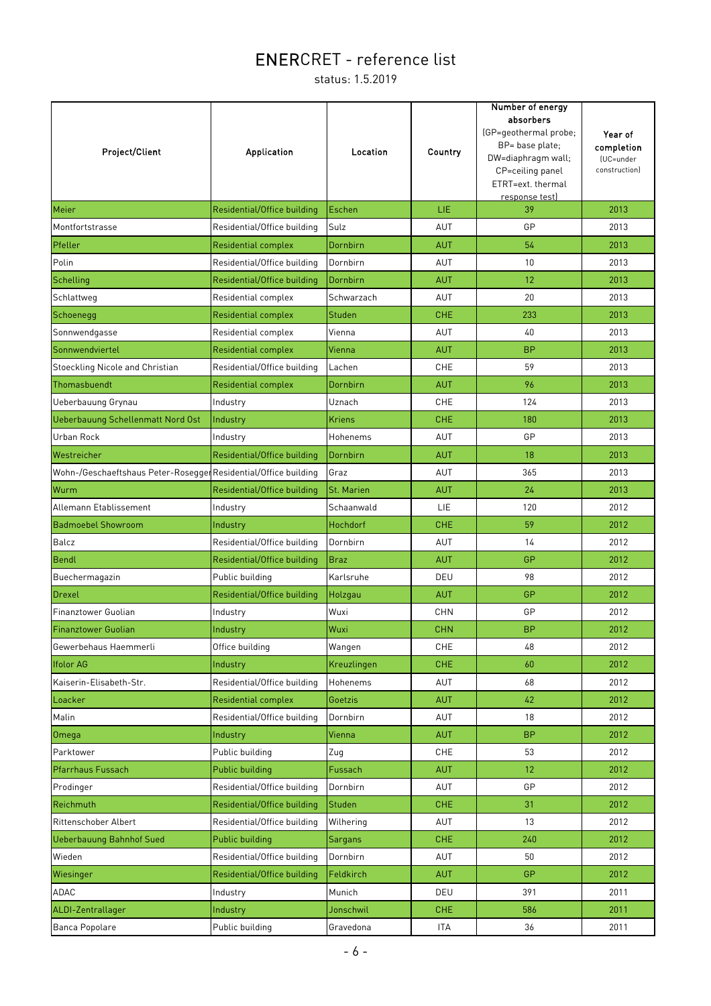| <b>Project/Client</b>                                           | <b>Application</b>          | Location      | Country    | Number of energy<br>absorbers<br>(GP=geothermal probe;<br>BP= base plate;<br>DW=diaphragm wall;<br>CP=ceiling panel<br>ETRT=ext. thermal<br><u>response test)</u> | Year of<br>completion<br>(UC=under<br>construction) |
|-----------------------------------------------------------------|-----------------------------|---------------|------------|-------------------------------------------------------------------------------------------------------------------------------------------------------------------|-----------------------------------------------------|
| Meier                                                           | Residential/Office building | Eschen        | LIE        | 39                                                                                                                                                                | 2013                                                |
| Montfortstrasse                                                 | Residential/Office building | Sulz          | AUT        | GP                                                                                                                                                                | 2013                                                |
| Pfeller                                                         | <b>Residential complex</b>  | Dornbirn      | <b>AUT</b> | 54                                                                                                                                                                | 2013                                                |
| Polin                                                           | Residential/Office building | Dornbirn      | AUT        | 10                                                                                                                                                                | 2013                                                |
| Schelling                                                       | Residential/Office building | Dornbirn      | <b>AUT</b> | 12                                                                                                                                                                | 2013                                                |
| Schlattweg                                                      | Residential complex         | Schwarzach    | AUT        | 20                                                                                                                                                                | 2013                                                |
| Schoenegg                                                       | <b>Residential complex</b>  | Studen        | <b>CHE</b> | 233                                                                                                                                                               | 2013                                                |
| Sonnwendgasse                                                   | Residential complex         | Vienna        | AUT        | 40                                                                                                                                                                | 2013                                                |
| Sonnwendviertel                                                 | <b>Residential complex</b>  | Vienna        | <b>AUT</b> | <b>BP</b>                                                                                                                                                         | 2013                                                |
| Stoeckling Nicole and Christian                                 | Residential/Office building | Lachen        | <b>CHE</b> | 59                                                                                                                                                                | 2013                                                |
| Thomasbuendt                                                    | <b>Residential complex</b>  | Dornbirn      | <b>AUT</b> | 96                                                                                                                                                                | 2013                                                |
| Ueberbauung Grynau                                              | Industry                    | Uznach        | <b>CHE</b> | 124                                                                                                                                                               | 2013                                                |
| Ueberbauung Schellenmatt Nord Ost                               | Industry                    | <b>Kriens</b> | <b>CHE</b> | 180                                                                                                                                                               | 2013                                                |
| Urban Rock                                                      | Industry                    | Hohenems      | AUT        | GP                                                                                                                                                                | 2013                                                |
| Westreicher                                                     | Residential/Office building | Dornbirn      | <b>AUT</b> | 18                                                                                                                                                                | 2013                                                |
| Wohn-/Geschaeftshaus Peter-Rosegger Residential/Office building |                             | Graz          | <b>AUT</b> | 365                                                                                                                                                               | 2013                                                |
| Wurm                                                            | Residential/Office building | St. Marien    | <b>AUT</b> | 24                                                                                                                                                                | 2013                                                |
| Allemann Etablissement                                          | Industry                    | Schaanwald    | LIE        | 120                                                                                                                                                               | 2012                                                |
| <b>Badmoebel Showroom</b>                                       | Industry                    | Hochdorf      | <b>CHE</b> | 59                                                                                                                                                                | 2012                                                |
| Balcz                                                           | Residential/Office building | Dornbirn      | <b>AUT</b> | 14                                                                                                                                                                | 2012                                                |
| Bendl                                                           | Residential/Office building | <b>Braz</b>   | <b>AUT</b> | GP                                                                                                                                                                | 2012                                                |
| Buechermagazin                                                  | Public building             | Karlsruhe     | DEU        | 98                                                                                                                                                                | 2012                                                |
| Drexel                                                          | Residential/Office building | Holzgau       | <b>AUT</b> | GP                                                                                                                                                                | 2012                                                |
| Finanztower Guolian                                             | Industry                    | Wuxi          | <b>CHN</b> | GP                                                                                                                                                                | 2012                                                |
| <b>Finanztower Guolian</b>                                      | Industry                    | Wuxi          | <b>CHN</b> | <b>BP</b>                                                                                                                                                         | 2012                                                |
| Gewerbehaus Haemmerli                                           | Office building             | Wangen        | CHE        | 48                                                                                                                                                                | 2012                                                |
| <b>Ifolor AG</b>                                                | Industry                    | Kreuzlingen   | <b>CHE</b> | 60                                                                                                                                                                | 2012                                                |
| Kaiserin-Elisabeth-Str.                                         | Residential/Office building | Hohenems      | AUT        | 68                                                                                                                                                                | 2012                                                |
| Loacker                                                         | <b>Residential complex</b>  | Goetzis       | <b>AUT</b> | 42                                                                                                                                                                | 2012                                                |
| Malin                                                           | Residential/Office building | Dornbirn      | AUT        | 18                                                                                                                                                                | 2012                                                |
| Omega                                                           | Industry                    | Vienna        | <b>AUT</b> | <b>BP</b>                                                                                                                                                         | 2012                                                |
| Parktower                                                       | Public building             | Zug           | CHE        | 53                                                                                                                                                                | 2012                                                |
| Pfarrhaus Fussach                                               | Public building             | Fussach       | <b>AUT</b> | 12                                                                                                                                                                | 2012                                                |
| Prodinger                                                       | Residential/Office building | Dornbirn      | <b>AUT</b> | GP                                                                                                                                                                | 2012                                                |
| Reichmuth                                                       | Residential/Office building | Studen        | <b>CHE</b> | 31                                                                                                                                                                | 2012                                                |
| Rittenschober Albert                                            | Residential/Office building | Wilhering     | <b>AUT</b> | 13                                                                                                                                                                | 2012                                                |
| <b>Ueberbauung Bahnhof Sued</b>                                 | Public building             | Sargans       | <b>CHE</b> | 240                                                                                                                                                               | 2012                                                |
| Wieden                                                          | Residential/Office building | Dornbirn      | AUT        | 50                                                                                                                                                                | 2012                                                |
| Wiesinger                                                       | Residential/Office building | Feldkirch     | <b>AUT</b> | <b>GP</b>                                                                                                                                                         | 2012                                                |
| ADAC                                                            | Industry                    | Munich        | DEU        | 391                                                                                                                                                               | 2011                                                |
| ALDI-Zentrallager                                               | Industry                    | Jonschwil     | <b>CHE</b> | 586                                                                                                                                                               | 2011                                                |
| Banca Popolare                                                  | Public building             | Gravedona     | <b>ITA</b> | 36                                                                                                                                                                | 2011                                                |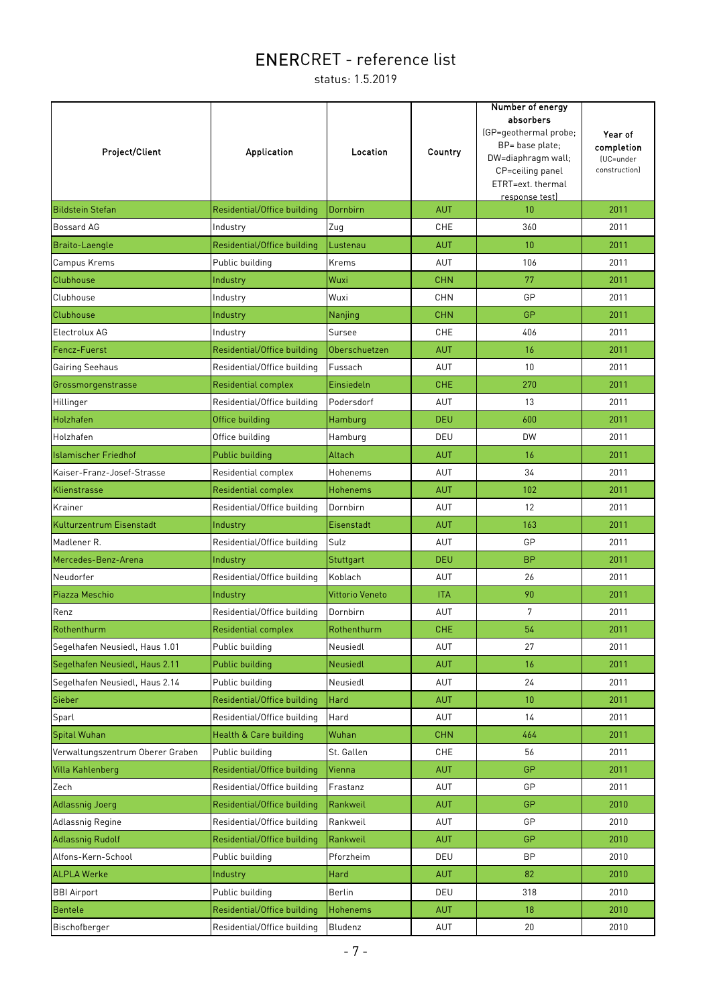| <b>Project/Client</b>            | Application                 | Location               | Country    | Number of energy<br>absorbers<br>(GP=geothermal probe;<br>BP= base plate;<br>DW=diaphragm wall;<br>CP=ceiling panel<br>ETRT=ext. thermal<br>response test) | Year of<br>completion<br>(UC=under<br>construction) |
|----------------------------------|-----------------------------|------------------------|------------|------------------------------------------------------------------------------------------------------------------------------------------------------------|-----------------------------------------------------|
| <b>Bildstein Stefan</b>          | Residential/Office building | Dornbirn               | <b>AUT</b> | 10                                                                                                                                                         | 2011                                                |
| Bossard AG                       | Industry                    | Zug                    | <b>CHE</b> | 360                                                                                                                                                        | 2011                                                |
| Braito-Laengle                   | Residential/Office building | Lustenau               | <b>AUT</b> | 10                                                                                                                                                         | 2011                                                |
| Campus Krems                     | Public building             | Krems                  | AUT        | 106                                                                                                                                                        | 2011                                                |
| <b>Clubhouse</b>                 | Industry                    | Wuxi                   | <b>CHN</b> | 77                                                                                                                                                         | 2011                                                |
| Clubhouse                        | Industry                    | Wuxi                   | <b>CHN</b> | GP                                                                                                                                                         | 2011                                                |
| <b>Clubhouse</b>                 | Industry                    | Nanjing                | <b>CHN</b> | GP                                                                                                                                                         | 2011                                                |
| Electrolux AG                    | Industry                    | Sursee                 | <b>CHE</b> | 406                                                                                                                                                        | 2011                                                |
| Fencz-Fuerst                     | Residential/Office building | Oberschuetzen          | <b>AUT</b> | 16                                                                                                                                                         | 2011                                                |
| <b>Gairing Seehaus</b>           | Residential/Office building | Fussach                | AUT        | 10                                                                                                                                                         | 2011                                                |
| Grossmorgenstrasse               | <b>Residential complex</b>  | Einsiedeln             | <b>CHE</b> | 270                                                                                                                                                        | 2011                                                |
| Hillinger                        | Residential/Office building | Podersdorf             | AUT        | 13                                                                                                                                                         | 2011                                                |
| Holzhafen                        | Office building             | Hamburg                | <b>DEU</b> | 600                                                                                                                                                        | 2011                                                |
| Holzhafen                        | Office building             | Hamburg                | DEU        | <b>DW</b>                                                                                                                                                  | 2011                                                |
| <b>Islamischer Friedhof</b>      | Public building             | Altach                 | <b>AUT</b> | 16                                                                                                                                                         | 2011                                                |
| Kaiser-Franz-Josef-Strasse       | Residential complex         | Hohenems               | AUT        | 34                                                                                                                                                         | 2011                                                |
| Klienstrasse                     | <b>Residential complex</b>  | Hohenems               | <b>AUT</b> | 102                                                                                                                                                        | 2011                                                |
| Krainer                          | Residential/Office building | Dornbirn               | <b>AUT</b> | 12                                                                                                                                                         | 2011                                                |
| Kulturzentrum Eisenstadt         | Industry                    | Eisenstadt             | <b>AUT</b> | 163                                                                                                                                                        | 2011                                                |
| Madlener R.                      | Residential/Office building | Sulz                   | AUT        | GP                                                                                                                                                         | 2011                                                |
| Mercedes-Benz-Arena              | Industry                    | Stuttgart              | <b>DEU</b> | <b>BP</b>                                                                                                                                                  | 2011                                                |
| Neudorfer                        | Residential/Office building | Koblach                | <b>AUT</b> | 26                                                                                                                                                         | 2011                                                |
| Piazza Meschio                   | Industry                    | <b>Vittorio Veneto</b> | <b>ITA</b> | 90                                                                                                                                                         | 2011                                                |
| Renz                             | Residential/Office building | Dornbirn               | AUT        | $\overline{7}$                                                                                                                                             | 2011                                                |
| Rothenthurm                      | Residential complex         | Rothenthurm            | <b>CHE</b> | 54                                                                                                                                                         | 2011                                                |
| Segelhafen Neusiedl, Haus 1.01   | Public building             | Neusiedl               | AUT        | 27                                                                                                                                                         | 2011                                                |
| Segelhafen Neusiedl, Haus 2.11   | Public building             | <b>Neusiedl</b>        | <b>AUT</b> | 16                                                                                                                                                         | 2011                                                |
| Segelhafen Neusiedl, Haus 2.14   | Public building             | Neusiedl               | AUT        | 24                                                                                                                                                         | 2011                                                |
| Sieber                           | Residential/Office building | Hard                   | <b>AUT</b> | 10                                                                                                                                                         | 2011                                                |
| Sparl                            | Residential/Office building | Hard                   | AUT        | 14                                                                                                                                                         | 2011                                                |
| Spital Wuhan                     | Health & Care building      | Wuhan                  | <b>CHN</b> | 464                                                                                                                                                        | 2011                                                |
| Verwaltungszentrum Oberer Graben | Public building             | St. Gallen             | <b>CHE</b> | 56                                                                                                                                                         | 2011                                                |
| <b>Villa Kahlenberg</b>          | Residential/Office building | Vienna                 | <b>AUT</b> | GP                                                                                                                                                         | 2011                                                |
| Zech                             | Residential/Office building | Frastanz               | AUT        | GP                                                                                                                                                         | 2011                                                |
| <b>Adlassnig Joerg</b>           | Residential/Office building | Rankweil               | <b>AUT</b> | GP                                                                                                                                                         | 2010                                                |
| Adlassnig Regine                 | Residential/Office building | Rankweil               | AUT        | GP                                                                                                                                                         | 2010                                                |
| <b>Adlassnig Rudolf</b>          | Residential/Office building | Rankweil               | <b>AUT</b> | <b>GP</b>                                                                                                                                                  | 2010                                                |
| Alfons-Kern-School               | Public building             | Pforzheim              | DEU        | <b>BP</b>                                                                                                                                                  | 2010                                                |
| <b>ALPLA Werke</b>               | Industry                    | Hard                   | <b>AUT</b> | 82                                                                                                                                                         | 2010                                                |
| <b>BBI Airport</b>               | Public building             | Berlin                 | DEU        | 318                                                                                                                                                        | 2010                                                |
| Bentele                          | Residential/Office building | Hohenems               | <b>AUT</b> | 18                                                                                                                                                         | 2010                                                |
| Bischofberger                    | Residential/Office building | Bludenz                | AUT        | 20                                                                                                                                                         | 2010                                                |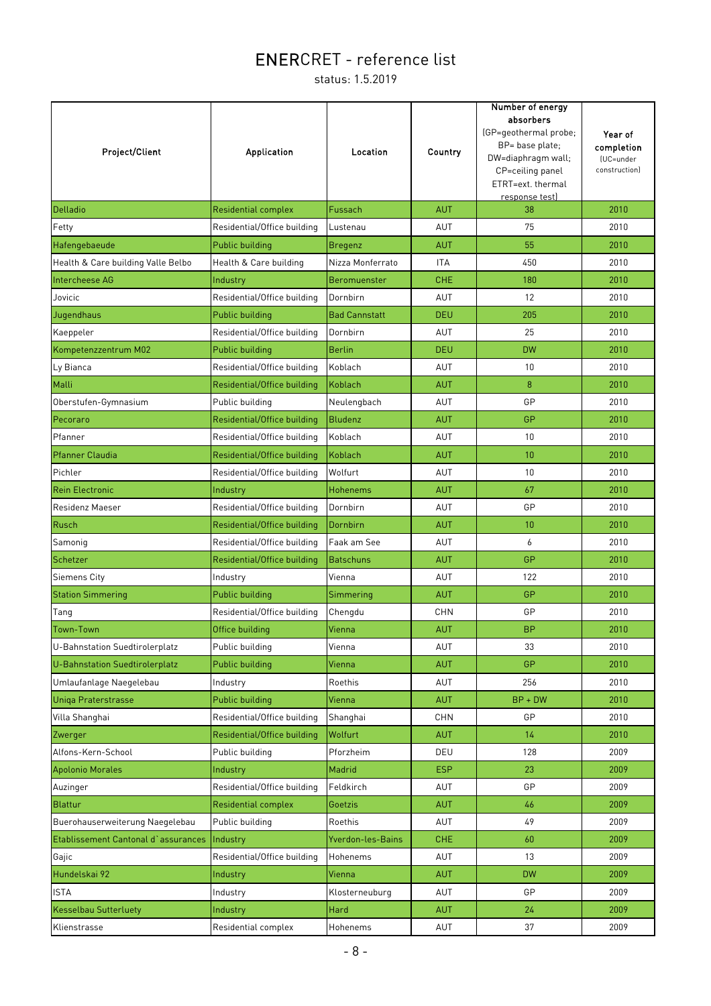| Project/Client                        | Application                 | Location             | Country    | Number of energy<br>absorbers<br>(GP=geothermal probe;<br>BP= base plate;<br>DW=diaphragm wall;<br>CP=ceiling panel<br>ETRT=ext. thermal<br>response test) | Year of<br>completion<br>(UC=under<br>construction) |
|---------------------------------------|-----------------------------|----------------------|------------|------------------------------------------------------------------------------------------------------------------------------------------------------------|-----------------------------------------------------|
| Delladio                              | <b>Residential complex</b>  | Fussach              | <b>AUT</b> | 38                                                                                                                                                         | 2010                                                |
| Fetty                                 | Residential/Office building | Lustenau             | AUT        | 75                                                                                                                                                         | 2010                                                |
| Hafengebaeude                         | <b>Public building</b>      | <b>Bregenz</b>       | <b>AUT</b> | 55                                                                                                                                                         | 2010                                                |
| Health & Care building Valle Belbo    | Health & Care building      | Nizza Monferrato     | <b>ITA</b> | 450                                                                                                                                                        | 2010                                                |
| Intercheese AG                        | Industry                    | <b>Beromuenster</b>  | <b>CHE</b> | 180                                                                                                                                                        | 2010                                                |
| Jovicic                               | Residential/Office building | Dornbirn             | AUT        | 12                                                                                                                                                         | 2010                                                |
| Jugendhaus                            | Public building             | <b>Bad Cannstatt</b> | <b>DEU</b> | 205                                                                                                                                                        | 2010                                                |
| Kaeppeler                             | Residential/Office building | Dornbirn             | AUT        | 25                                                                                                                                                         | 2010                                                |
| Kompetenzzentrum M02                  | <b>Public building</b>      | <b>Berlin</b>        | <b>DEU</b> | <b>DW</b>                                                                                                                                                  | 2010                                                |
| Ly Bianca                             | Residential/Office building | Koblach              | AUT        | 10                                                                                                                                                         | 2010                                                |
| Malli                                 | Residential/Office building | Koblach              | <b>AUT</b> | 8                                                                                                                                                          | 2010                                                |
| Oberstufen-Gymnasium                  | Public building             | Neulengbach          | AUT        | GP                                                                                                                                                         | 2010                                                |
| Pecoraro                              | Residential/Office building | <b>Bludenz</b>       | <b>AUT</b> | GP                                                                                                                                                         | 2010                                                |
| Pfanner                               | Residential/Office building | Koblach              | AUT        | 10                                                                                                                                                         | 2010                                                |
| <b>Pfanner Claudia</b>                | Residential/Office building | Koblach              | <b>AUT</b> | 10                                                                                                                                                         | 2010                                                |
| Pichler                               | Residential/Office building | Wolfurt              | AUT        | 10                                                                                                                                                         | 2010                                                |
| <b>Rein Electronic</b>                | Industry                    | Hohenems             | AUT        | 67                                                                                                                                                         | 2010                                                |
| <b>Residenz Maeser</b>                | Residential/Office building | Dornbirn             | AUT        | GP                                                                                                                                                         | 2010                                                |
| Rusch                                 | Residential/Office building | Dornbirn             | <b>AUT</b> | 10                                                                                                                                                         | 2010                                                |
| Samonig                               | Residential/Office building | Faak am See          | AUT        | 6                                                                                                                                                          | 2010                                                |
| Schetzer                              | Residential/Office building | <b>Batschuns</b>     | <b>AUT</b> | GP                                                                                                                                                         | 2010                                                |
| <b>Siemens City</b>                   | Industry                    | Vienna               | AUT        | 122                                                                                                                                                        | 2010                                                |
| <b>Station Simmering</b>              | Public building             | Simmering            | <b>AUT</b> | GP                                                                                                                                                         | 2010                                                |
| Tang                                  | Residential/Office building | Chengdu              | <b>CHN</b> | GP                                                                                                                                                         | 2010                                                |
| Town-Town                             | Office building             | Vienna               | <b>AUT</b> | <b>BP</b>                                                                                                                                                  | 2010                                                |
| <b>U-Bahnstation Suedtirolerplatz</b> | Public building             | Vienna               | AUT        | 33                                                                                                                                                         | 2010                                                |
| U-Bahnstation Suedtirolerplatz        | Public building             | Vienna               | <b>AUT</b> | <b>GP</b>                                                                                                                                                  | 2010                                                |
| Umlaufanlage Naegelebau               | Industry                    | Roethis              | AUT        | 256                                                                                                                                                        | 2010                                                |
| <b>Uniga Praterstrasse</b>            | Public building             | Vienna               | <b>AUT</b> | $BP + DW$                                                                                                                                                  | 2010                                                |
| Villa Shanghai                        | Residential/Office building | Shanghai             | <b>CHN</b> | GP                                                                                                                                                         | 2010                                                |
| Zwerger                               | Residential/Office building | Wolfurt              | <b>AUT</b> | 14                                                                                                                                                         | 2010                                                |
| Alfons-Kern-School                    | Public building             | Pforzheim            | DEU        | 128                                                                                                                                                        | 2009                                                |
| <b>Apolonio Morales</b>               | Industry                    | Madrid               | <b>ESP</b> | 23                                                                                                                                                         | 2009                                                |
| Auzinger                              | Residential/Office building | Feldkirch            | AUT        | GP                                                                                                                                                         | 2009                                                |
| Blattur                               | <b>Residential complex</b>  | Goetzis              | <b>AUT</b> | 46                                                                                                                                                         | 2009                                                |
| Buerohauserweiterung Naegelebau       | Public building             | Roethis              | AUT        | 49                                                                                                                                                         | 2009                                                |
| Etablissement Cantonal d'assurances   | Industry                    | Yverdon-les-Bains    | <b>CHE</b> | 60                                                                                                                                                         | 2009                                                |
| Gajic                                 | Residential/Office building | Hohenems             | AUT        | 13                                                                                                                                                         | 2009                                                |
| Hundelskai 92                         | Industry                    | Vienna               | <b>AUT</b> | <b>DW</b>                                                                                                                                                  | 2009                                                |
| <b>ISTA</b>                           | Industry                    | Klosterneuburg       | AUT        | GP                                                                                                                                                         | 2009                                                |
| <b>Kesselbau Sutterluety</b>          | Industry                    | Hard                 | <b>AUT</b> | 24                                                                                                                                                         | 2009                                                |
| Klienstrasse                          | Residential complex         | Hohenems             | AUT        | 37                                                                                                                                                         | 2009                                                |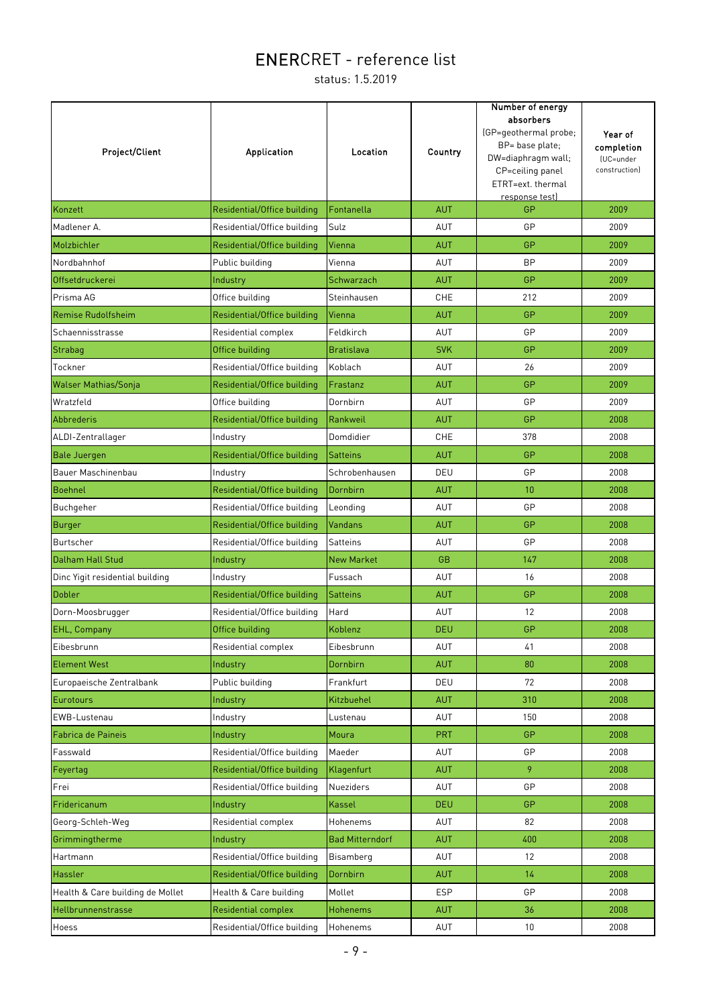| <b>Project/Client</b>            | <b>Application</b>          | Location               | Country    | Number of energy<br>absorbers<br>(GP=geothermal probe;<br>BP= base plate;<br>DW=diaphragm wall;<br>CP=ceiling panel<br>ETRT=ext. thermal<br>response test) | Year of<br>completion<br>(UC=under<br>constructionl |
|----------------------------------|-----------------------------|------------------------|------------|------------------------------------------------------------------------------------------------------------------------------------------------------------|-----------------------------------------------------|
| Konzett                          | Residential/Office building | Fontanella             | <b>AUT</b> | GP                                                                                                                                                         | 2009                                                |
| Madlener A.                      | Residential/Office building | Sulz                   | AUT        | GP                                                                                                                                                         | 2009                                                |
| Molzbichler                      | Residential/Office building | Vienna                 | <b>AUT</b> | <b>GP</b>                                                                                                                                                  | 2009                                                |
| Nordbahnhof                      | Public building             | Vienna                 | AUT        | <b>BP</b>                                                                                                                                                  | 2009                                                |
| Offsetdruckerei                  | Industry                    | Schwarzach             | <b>AUT</b> | <b>GP</b>                                                                                                                                                  | 2009                                                |
| Prisma AG                        | Office building             | Steinhausen            | <b>CHE</b> | 212                                                                                                                                                        | 2009                                                |
| <b>Remise Rudolfsheim</b>        | Residential/Office building | Vienna                 | <b>AUT</b> | GP                                                                                                                                                         | 2009                                                |
| Schaennisstrasse                 | Residential complex         | Feldkirch              | AUT        | GP                                                                                                                                                         | 2009                                                |
| Strabag                          | Office building             | <b>Bratislava</b>      | <b>SVK</b> | <b>GP</b>                                                                                                                                                  | 2009                                                |
| Tockner                          | Residential/Office building | Koblach                | <b>AUT</b> | 26                                                                                                                                                         | 2009                                                |
| <b>Walser Mathias/Sonja</b>      | Residential/Office building | Frastanz               | <b>AUT</b> | <b>GP</b>                                                                                                                                                  | 2009                                                |
| Wratzfeld                        | Office building             | Dornbirn               | AUT        | GP                                                                                                                                                         | 2009                                                |
| Abbrederis                       | Residential/Office building | Rankweil               | <b>AUT</b> | <b>GP</b>                                                                                                                                                  | 2008                                                |
| ALDI-Zentrallager                | Industry                    | Domdidier              | <b>CHE</b> | 378                                                                                                                                                        | 2008                                                |
| <b>Bale Juergen</b>              | Residential/Office building | <b>Satteins</b>        | <b>AUT</b> | GP                                                                                                                                                         | 2008                                                |
| Bauer Maschinenbau               | Industry                    | Schrobenhausen         | DEU        | GP                                                                                                                                                         | 2008                                                |
| <b>Boehnel</b>                   | Residential/Office building | Dornbirn               | <b>AUT</b> | 10 <sup>1</sup>                                                                                                                                            | 2008                                                |
| Buchgeher                        | Residential/Office building | Leonding               | AUT        | GP                                                                                                                                                         | 2008                                                |
| Burger                           | Residential/Office building | <b>Vandans</b>         | <b>AUT</b> | GP                                                                                                                                                         | 2008                                                |
| <b>Burtscher</b>                 | Residential/Office building | Satteins               | AUT        | GP                                                                                                                                                         | 2008                                                |
| Dalham Hall Stud                 | Industry                    | <b>New Market</b>      | <b>GB</b>  | 147                                                                                                                                                        | 2008                                                |
| Dinc Yigit residential building  | Industry                    | Fussach                | AUT        | 16                                                                                                                                                         | 2008                                                |
| <b>Dobler</b>                    | Residential/Office building | <b>Satteins</b>        | <b>AUT</b> | <b>GP</b>                                                                                                                                                  | 2008                                                |
| Dorn-Moosbrugger                 | Residential/Office building | Hard                   | <b>AUT</b> | 12                                                                                                                                                         | 2008                                                |
| EHL, Company                     | Office building             | Koblenz                | <b>DEU</b> | GP                                                                                                                                                         | 2008                                                |
| Eibesbrunn                       | Residential complex         | Eibesbrunn             | <b>AUT</b> | 41                                                                                                                                                         | 2008                                                |
| <b>Element West</b>              | Industry                    | Dornbirn               | <b>AUT</b> | 80                                                                                                                                                         | 2008                                                |
| Europaeische Zentralbank         | Public building             | Frankfurt              | DEU        | 72                                                                                                                                                         | 2008                                                |
| Eurotours                        | Industry                    | Kitzbuehel             | <b>AUT</b> | 310                                                                                                                                                        | 2008                                                |
| EWB-Lustenau                     | Industry                    | Lustenau               | AUT        | 150                                                                                                                                                        | 2008                                                |
| Fabrica de Paineis               | Industry                    | Moura                  | PRT        | <b>GP</b>                                                                                                                                                  | 2008                                                |
| Fasswald                         | Residential/Office building | Maeder                 | AUT        | GP                                                                                                                                                         | 2008                                                |
| Feyertag                         | Residential/Office building | Klagenfurt             | <b>AUT</b> | 9                                                                                                                                                          | 2008                                                |
| Frei                             | Residential/Office building | <b>Nueziders</b>       | <b>AUT</b> | GP                                                                                                                                                         | 2008                                                |
| Fridericanum                     | Industry                    | Kassel                 | <b>DEU</b> | GP                                                                                                                                                         | 2008                                                |
| Georg-Schleh-Weg                 | Residential complex         | Hohenems               | <b>AUT</b> | 82                                                                                                                                                         | 2008                                                |
| Grimmingtherme                   | Industry                    | <b>Bad Mitterndorf</b> | <b>AUT</b> | 400                                                                                                                                                        | 2008                                                |
| Hartmann                         | Residential/Office building | Bisamberg              | AUT        | 12                                                                                                                                                         | 2008                                                |
| Hassler                          | Residential/Office building | Dornbirn               | <b>AUT</b> | 14                                                                                                                                                         | 2008                                                |
| Health & Care building de Mollet | Health & Care building      | Mollet                 | <b>ESP</b> | GP                                                                                                                                                         | 2008                                                |
| Hellbrunnenstrasse               | Residential complex         | <b>Hohenems</b>        | <b>AUT</b> | 36                                                                                                                                                         | 2008                                                |
| Hoess                            | Residential/Office building | Hohenems               | AUT        | 10 <sup>°</sup>                                                                                                                                            | 2008                                                |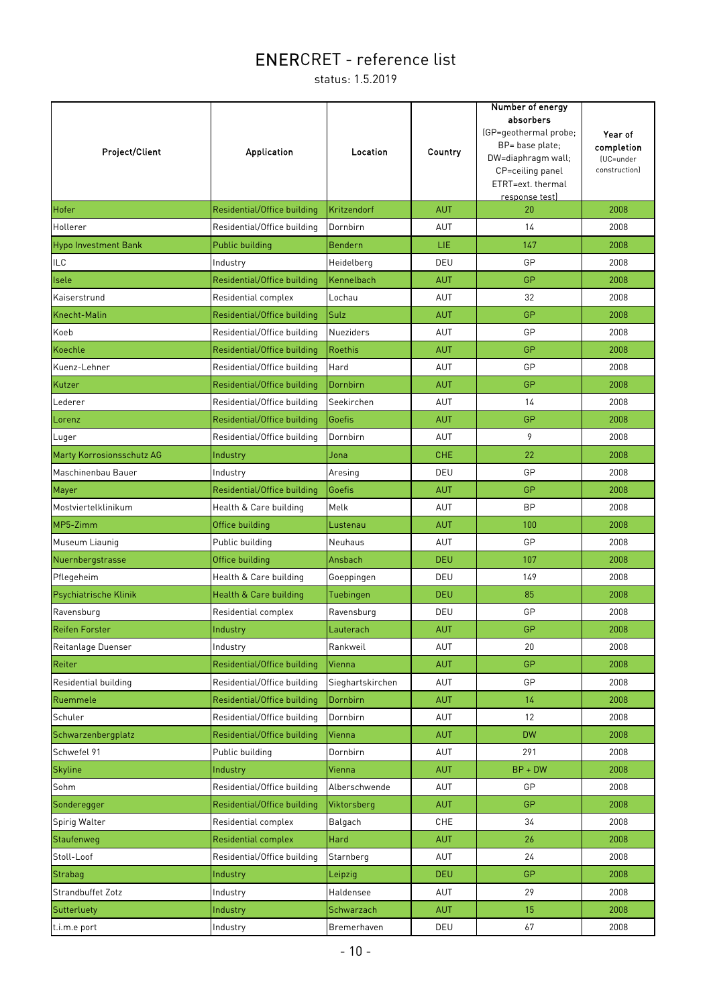| Project/Client                   | <b>Application</b>          | Location         | Country    | Number of energy<br>absorbers<br>(GP=geothermal probe;<br>BP= base plate;<br>DW=diaphragm wall;<br>CP=ceiling panel<br>ETRT=ext. thermal<br>response test) | Year of<br>completion<br>(UC=under<br>constructionl |
|----------------------------------|-----------------------------|------------------|------------|------------------------------------------------------------------------------------------------------------------------------------------------------------|-----------------------------------------------------|
| Hofer                            | Residential/Office building | Kritzendorf      | <b>AUT</b> | 20                                                                                                                                                         | 2008                                                |
| Hollerer                         | Residential/Office building | Dornbirn         | AUT        | 14                                                                                                                                                         | 2008                                                |
| <b>Hypo Investment Bank</b>      | Public building             | <b>Bendern</b>   | LIE        | 147                                                                                                                                                        | 2008                                                |
| <b>ILC</b>                       | Industry                    | Heidelberg       | DEU        | GP                                                                                                                                                         | 2008                                                |
| Isele                            | Residential/Office building | Kennelbach       | <b>AUT</b> | GP                                                                                                                                                         | 2008                                                |
| Kaiserstrund                     | Residential complex         | Lochau           | AUT        | 32                                                                                                                                                         | 2008                                                |
| Knecht-Malin                     | Residential/Office building | Sulz             | <b>AUT</b> | GP                                                                                                                                                         | 2008                                                |
| Koeb                             | Residential/Office building | <b>Nueziders</b> | <b>AUT</b> | GP                                                                                                                                                         | 2008                                                |
| Koechle                          | Residential/Office building | <b>Roethis</b>   | <b>AUT</b> | GP                                                                                                                                                         | 2008                                                |
| Kuenz-Lehner                     | Residential/Office building | Hard             | AUT        | GP                                                                                                                                                         | 2008                                                |
| Kutzer                           | Residential/Office building | Dornbirn         | <b>AUT</b> | GP                                                                                                                                                         | 2008                                                |
| Lederer                          | Residential/Office building | Seekirchen       | AUT        | 14                                                                                                                                                         | 2008                                                |
| Lorenz                           | Residential/Office building | Goefis           | <b>AUT</b> | GP                                                                                                                                                         | 2008                                                |
| Luger                            | Residential/Office building | Dornbirn         | <b>AUT</b> | 9                                                                                                                                                          | 2008                                                |
| <b>Marty Korrosionsschutz AG</b> | Industry                    | Jona             | <b>CHE</b> | 22                                                                                                                                                         | 2008                                                |
| Maschinenbau Bauer               | Industry                    | Aresing          | DEU        | GP                                                                                                                                                         | 2008                                                |
| Mayer                            | Residential/Office building | Goefis           | <b>AUT</b> | GP                                                                                                                                                         | 2008                                                |
| Mostviertelklinikum              | Health & Care building      | Melk             | AUT        | <b>BP</b>                                                                                                                                                  | 2008                                                |
| MP5-Zimm                         | Office building             | Lustenau         | <b>AUT</b> | 100                                                                                                                                                        | 2008                                                |
| Museum Liauniq                   | Public building             | Neuhaus          | AUT        | GP                                                                                                                                                         | 2008                                                |
| Nuernbergstrasse                 | Office building             | Ansbach          | <b>DEU</b> | 107                                                                                                                                                        | 2008                                                |
| Pflegeheim                       | Health & Care building      | Goeppingen       | DEU        | 149                                                                                                                                                        | 2008                                                |
| Psychiatrische Klinik            | Health & Care building      | Tuebingen        | <b>DEU</b> | 85                                                                                                                                                         | 2008                                                |
| Ravensburg                       | Residential complex         | Ravensburg       | DEU        | GP                                                                                                                                                         | 2008                                                |
| <b>Reifen Forster</b>            | Industry                    | Lauterach        | <b>AUT</b> | GP                                                                                                                                                         | 2008                                                |
| Reitanlage Duenser               | Industry                    | Rankweil         | AUT        | 20                                                                                                                                                         | 2008                                                |
| Reiter                           | Residential/Office building | Vienna           | <b>AUT</b> | GP                                                                                                                                                         | 2008                                                |
| Residential building             | Residential/Office building | Sieghartskirchen | AUT        | GP                                                                                                                                                         | 2008                                                |
| Ruemmele                         | Residential/Office building | Dornbirn         | <b>AUT</b> | 14                                                                                                                                                         | 2008                                                |
| Schuler                          | Residential/Office building | Dornbirn         | AUT        | 12                                                                                                                                                         | 2008                                                |
| Schwarzenbergplatz               | Residential/Office building | Vienna           | <b>AUT</b> | <b>DW</b>                                                                                                                                                  | 2008                                                |
| Schwefel 91                      | Public building             | Dornbirn         | AUT        | 291                                                                                                                                                        | 2008                                                |
| <b>Skyline</b>                   | Industry                    | Vienna           | <b>AUT</b> | $BP + DW$                                                                                                                                                  | 2008                                                |
| Sohm                             | Residential/Office building | Alberschwende    | AUT        | GP                                                                                                                                                         | 2008                                                |
| Sonderegger                      | Residential/Office building | Viktorsberg      | <b>AUT</b> | <b>GP</b>                                                                                                                                                  | 2008                                                |
| Spirig Walter                    | Residential complex         | Balgach          | CHE        | 34                                                                                                                                                         | 2008                                                |
| Staufenweg                       | <b>Residential complex</b>  | Hard             | <b>AUT</b> | 26                                                                                                                                                         | 2008                                                |
| Stoll-Loof                       | Residential/Office building | Starnberg        | AUT        | 24                                                                                                                                                         | 2008                                                |
| Strabag                          | Industry                    | Leipzig          | <b>DEU</b> | GP                                                                                                                                                         | 2008                                                |
| Strandbuffet Zotz                | Industry                    | Haldensee        | AUT        | 29                                                                                                                                                         | 2008                                                |
| Sutterluety                      | Industry                    | Schwarzach       | <b>AUT</b> | 15                                                                                                                                                         | 2008                                                |
| t.i.m.e port                     | Industry                    | Bremerhaven      | DEU        | 67                                                                                                                                                         | 2008                                                |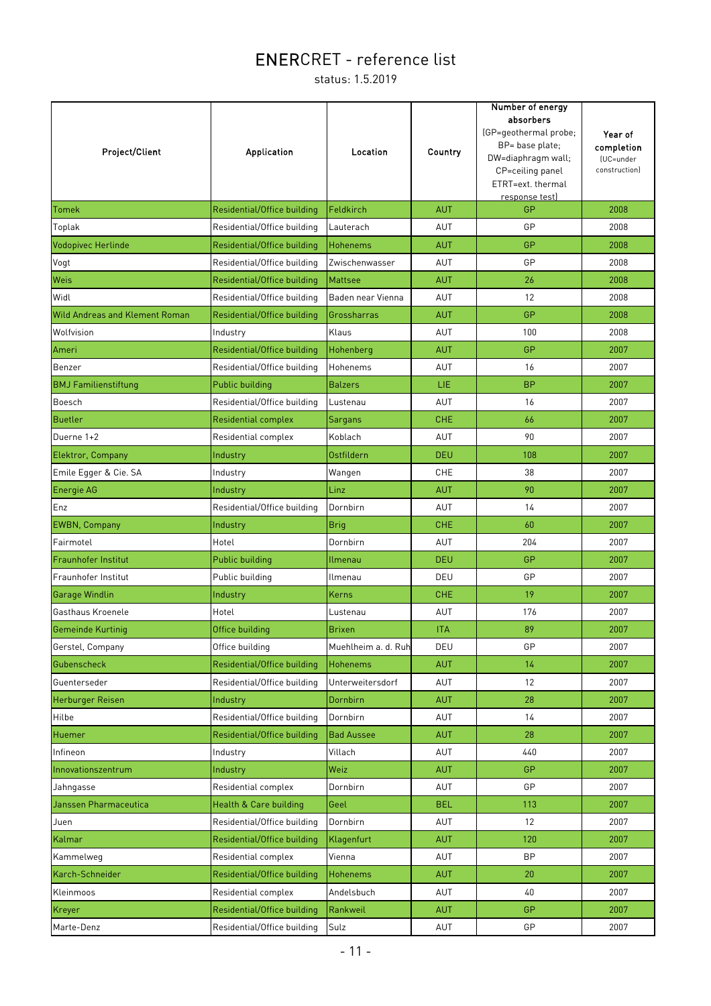| Project/Client                        | Application                 | Location                | Country    | Number of energy<br>absorbers<br>(GP=geothermal probe;<br>BP= base plate;<br>DW=diaphragm wall;<br>CP=ceiling panel<br>ETRT=ext. thermal<br>response test) | Year of<br>completion<br>(UC=under<br>construction) |
|---------------------------------------|-----------------------------|-------------------------|------------|------------------------------------------------------------------------------------------------------------------------------------------------------------|-----------------------------------------------------|
| <b>Tomek</b>                          | Residential/Office building | Feldkirch               | <b>AUT</b> | GP                                                                                                                                                         | 2008                                                |
| Toplak                                | Residential/Office building | Lauterach               | AUT        | GP                                                                                                                                                         | 2008                                                |
| Vodopivec Herlinde                    | Residential/Office building | Hohenems                | <b>AUT</b> | GP                                                                                                                                                         | 2008                                                |
| Vogt                                  | Residential/Office building | Zwischenwasser          | AUT        | GP                                                                                                                                                         | 2008                                                |
| Weis                                  | Residential/Office building | <b>Mattsee</b>          | <b>AUT</b> | 26                                                                                                                                                         | 2008                                                |
| Widl                                  | Residential/Office building | Baden near Vienna       | AUT        | 12                                                                                                                                                         | 2008                                                |
| <b>Wild Andreas and Klement Roman</b> | Residential/Office building | Grossharras             | <b>AUT</b> | GP                                                                                                                                                         | 2008                                                |
| Wolfvision                            | Industry                    | Klaus                   | AUT        | 100                                                                                                                                                        | 2008                                                |
| Ameri                                 | Residential/Office building | Hohenberg               | <b>AUT</b> | GP                                                                                                                                                         | 2007                                                |
| Benzer                                | Residential/Office building | Hohenems                | AUT        | 16                                                                                                                                                         | 2007                                                |
| <b>BMJ</b> Familienstiftung           | <b>Public building</b>      | <b>Balzers</b>          | LIE        | <b>BP</b>                                                                                                                                                  | 2007                                                |
| Boesch                                | Residential/Office building | Lustenau                | AUT        | 16                                                                                                                                                         | 2007                                                |
| <b>Buetler</b>                        | <b>Residential complex</b>  | <b>Sargans</b>          | <b>CHE</b> | 66                                                                                                                                                         | 2007                                                |
| Duerne 1+2                            | Residential complex         | Koblach                 | AUT        | 90                                                                                                                                                         | 2007                                                |
| Elektror, Company                     | Industry                    | Ostfildern              | <b>DEU</b> | 108                                                                                                                                                        | 2007                                                |
| Emile Egger & Cie. SA                 | Industry                    | Wangen                  | CHE        | 38                                                                                                                                                         | 2007                                                |
| Energie AG                            | Industry                    | Linz                    | <b>AUT</b> | 90                                                                                                                                                         | 2007                                                |
| Enz                                   | Residential/Office building | Dornbirn                | AUT        | 14                                                                                                                                                         | 2007                                                |
| <b>EWBN, Company</b>                  | Industry                    | <b>Brig</b>             | <b>CHE</b> | 60                                                                                                                                                         | 2007                                                |
| Fairmotel                             | Hotel                       | Dornbirn                | AUT        | 204                                                                                                                                                        | 2007                                                |
| Fraunhofer Institut                   | Public building             | Ilmenau                 | <b>DEU</b> | GP                                                                                                                                                         | 2007                                                |
| Fraunhofer Institut                   | Public building             | Ilmenau                 | DEU        | GP                                                                                                                                                         | 2007                                                |
| Garage Windlin                        | Industry                    | <b>Kerns</b>            | <b>CHE</b> | 19                                                                                                                                                         | 2007                                                |
| Gasthaus Kroenele                     | Hotel                       | Lustenau                | AUT        | 176                                                                                                                                                        | 2007                                                |
| Gemeinde Kurtinig                     | Office building             | <b>Brixen</b>           | <b>ITA</b> | 89                                                                                                                                                         | 2007                                                |
| Gerstel, Company                      | Office building             | Muehlheim a. d. Ruh     | DEU        | GP                                                                                                                                                         | 2007                                                |
| Gubenscheck                           | Residential/Office building | <b>Hohenems</b>         | <b>AUT</b> | 14                                                                                                                                                         | 2007                                                |
| Guenterseder                          | Residential/Office building | <b>Unterweitersdorf</b> | AUT        | 12                                                                                                                                                         | 2007                                                |
| Herburger Reisen                      | Industry                    | Dornbirn                | <b>AUT</b> | 28                                                                                                                                                         | 2007                                                |
| Hilbe                                 | Residential/Office building | Dornbirn                | AUT        | 14                                                                                                                                                         | 2007                                                |
| Huemer                                | Residential/Office building | <b>Bad Aussee</b>       | <b>AUT</b> | 28                                                                                                                                                         | 2007                                                |
| Infineon                              | Industry                    | Villach                 | AUT        | 440                                                                                                                                                        | 2007                                                |
| Innovationszentrum                    | Industry                    | Weiz                    | <b>AUT</b> | GP                                                                                                                                                         | 2007                                                |
| Jahngasse                             | Residential complex         | Dornbirn                | AUT        | GP                                                                                                                                                         | 2007                                                |
| Janssen Pharmaceutica                 | Health & Care building      | Geel                    | <b>BEL</b> | 113                                                                                                                                                        | 2007                                                |
| Juen                                  | Residential/Office building | Dornbirn                | <b>AUT</b> | 12                                                                                                                                                         | 2007                                                |
| Kalmar                                | Residential/Office building | Klagenfurt              | <b>AUT</b> | 120                                                                                                                                                        | 2007                                                |
| Kammelweg                             | Residential complex         | Vienna                  | <b>AUT</b> | <b>BP</b>                                                                                                                                                  | 2007                                                |
| Karch-Schneider                       | Residential/Office building | <b>Hohenems</b>         | <b>AUT</b> | 20                                                                                                                                                         | 2007                                                |
| Kleinmoos                             | Residential complex         | Andelsbuch              | AUT        | 40                                                                                                                                                         | 2007                                                |
| Kreyer                                | Residential/Office building | Rankweil                | <b>AUT</b> | GP                                                                                                                                                         | 2007                                                |
| Marte-Denz                            | Residential/Office building | Sulz                    | AUT        | GP                                                                                                                                                         | 2007                                                |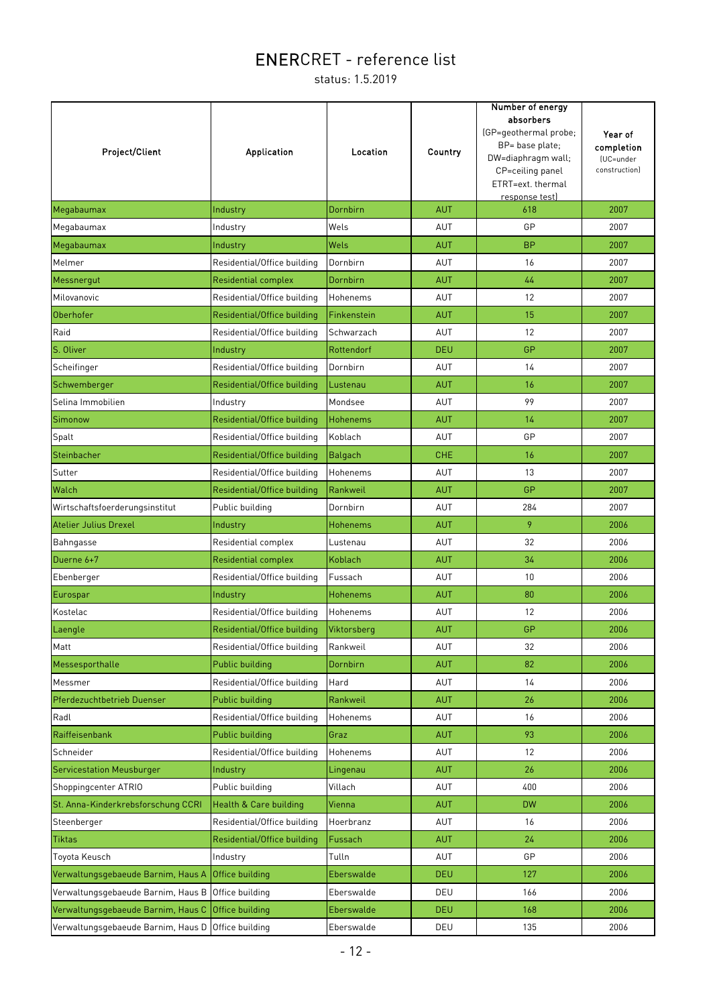| Project/Client                                     | Application                 | Location        | Country    | Number of energy<br>absorbers<br>(GP=geothermal probe;<br>BP= base plate;<br>DW=diaphragm wall;<br>CP=ceiling panel<br>ETRT=ext. thermal<br>response test) | Year of<br>completion<br>(UC=under<br>construction) |
|----------------------------------------------------|-----------------------------|-----------------|------------|------------------------------------------------------------------------------------------------------------------------------------------------------------|-----------------------------------------------------|
| Megabaumax                                         | Industry                    | Dornbirn        | <b>AUT</b> | 618                                                                                                                                                        | 2007                                                |
| Megabaumax                                         | Industry                    | Wels            | AUT        | GP                                                                                                                                                         | 2007                                                |
| Megabaumax                                         | Industry                    | Wels            | <b>AUT</b> | <b>BP</b>                                                                                                                                                  | 2007                                                |
| Melmer                                             | Residential/Office building | Dornbirn        | AUT        | 16                                                                                                                                                         | 2007                                                |
| Messnergut                                         | <b>Residential complex</b>  | Dornbirn        | <b>AUT</b> | 44                                                                                                                                                         | 2007                                                |
| Milovanovic                                        | Residential/Office building | Hohenems        | AUT        | 12                                                                                                                                                         | 2007                                                |
| Oberhofer                                          | Residential/Office building | Finkenstein     | <b>AUT</b> | 15                                                                                                                                                         | 2007                                                |
| Raid                                               | Residential/Office building | Schwarzach      | <b>AUT</b> | 12                                                                                                                                                         | 2007                                                |
| S. Oliver                                          | Industry                    | Rottendorf      | <b>DEU</b> | GP                                                                                                                                                         | 2007                                                |
| Scheifinger                                        | Residential/Office building | Dornbirn        | AUT        | 14                                                                                                                                                         | 2007                                                |
| Schwemberger                                       | Residential/Office building | Lustenau        | <b>AUT</b> | 16                                                                                                                                                         | 2007                                                |
| Selina Immobilien                                  | Industry                    | Mondsee         | AUT        | 99                                                                                                                                                         | 2007                                                |
| Simonow                                            | Residential/Office building | <b>Hohenems</b> | <b>AUT</b> | 14                                                                                                                                                         | 2007                                                |
| Spalt                                              | Residential/Office building | Koblach         | AUT        | GP                                                                                                                                                         | 2007                                                |
| Steinbacher                                        | Residential/Office building | <b>Balgach</b>  | <b>CHE</b> | 16                                                                                                                                                         | 2007                                                |
| Sutter                                             | Residential/Office building | Hohenems        | <b>AUT</b> | 13                                                                                                                                                         | 2007                                                |
| Walch                                              | Residential/Office building | Rankweil        | <b>AUT</b> | GP                                                                                                                                                         | 2007                                                |
| Wirtschaftsfoerderungsinstitut                     | Public building             | Dornbirn        | AUT        | 284                                                                                                                                                        | 2007                                                |
| <b>Atelier Julius Drexel</b>                       | Industry                    | Hohenems        | <b>AUT</b> | 9                                                                                                                                                          | 2006                                                |
| Bahngasse                                          | Residential complex         | Lustenau        | AUT        | 32                                                                                                                                                         | 2006                                                |
| Duerne 6+7                                         | <b>Residential complex</b>  | Koblach         | <b>AUT</b> | 34                                                                                                                                                         | 2006                                                |
| Ebenberger                                         | Residential/Office building | Fussach         | AUT        | 10                                                                                                                                                         | 2006                                                |
| Eurospar                                           | Industry                    | <b>Hohenems</b> | <b>AUT</b> | 80                                                                                                                                                         | 2006                                                |
| Kostelac                                           | Residential/Office building | Hohenems        | AUT        | 12                                                                                                                                                         | 2006                                                |
| Laengle                                            | Residential/Office building | Viktorsberg     | <b>AUT</b> | GP                                                                                                                                                         | 2006                                                |
| Matt                                               | Residential/Office building | Rankweil        | AUT        | 32                                                                                                                                                         | 2006                                                |
| Messesporthalle                                    | Public building             | Dornbirn        | <b>AUT</b> | 82                                                                                                                                                         | 2006                                                |
| Messmer                                            | Residential/Office building | Hard            | AUT        | 14                                                                                                                                                         | 2006                                                |
| Pferdezuchtbetrieb Duenser                         | <b>Public building</b>      | Rankweil        | <b>AUT</b> | 26                                                                                                                                                         | 2006                                                |
| Radl                                               | Residential/Office building | Hohenems        | AUT        | 16                                                                                                                                                         | 2006                                                |
| Raiffeisenbank                                     | <b>Public building</b>      | Graz            | <b>AUT</b> | 93                                                                                                                                                         | 2006                                                |
| Schneider                                          | Residential/Office building | Hohenems        | AUT        | 12                                                                                                                                                         | 2006                                                |
| <b>Servicestation Meusburger</b>                   | Industry                    | Lingenau        | <b>AUT</b> | 26                                                                                                                                                         | 2006                                                |
| Shoppingcenter ATRIO                               | Public building             | Villach         | AUT        | 400                                                                                                                                                        | 2006                                                |
| St. Anna-Kinderkrebsforschung CCRI                 | Health & Care building      | Vienna          | <b>AUT</b> | <b>DW</b>                                                                                                                                                  | 2006                                                |
| Steenberger                                        | Residential/Office building | Hoerbranz       | AUT        | 16                                                                                                                                                         | 2006                                                |
| <b>Tiktas</b>                                      | Residential/Office building | Fussach         | AUT        | 24                                                                                                                                                         | 2006                                                |
| Toyota Keusch                                      | Industry                    | Tulln           | AUT        | GP                                                                                                                                                         | 2006                                                |
| Verwaltungsgebaeude Barnim, Haus A                 | Office building             | Eberswalde      | <b>DEU</b> | 127                                                                                                                                                        | 2006                                                |
| Verwaltungsgebaeude Barnim, Haus B                 | Office building             | Eberswalde      | DEU        | 166                                                                                                                                                        | 2006                                                |
| Verwaltungsgebaeude Barnim, Haus C                 | Office building             | Eberswalde      | <b>DEU</b> | 168                                                                                                                                                        | 2006                                                |
| Verwaltungsgebaeude Barnim, Haus D Office building |                             | Eberswalde      | DEU        | 135                                                                                                                                                        | 2006                                                |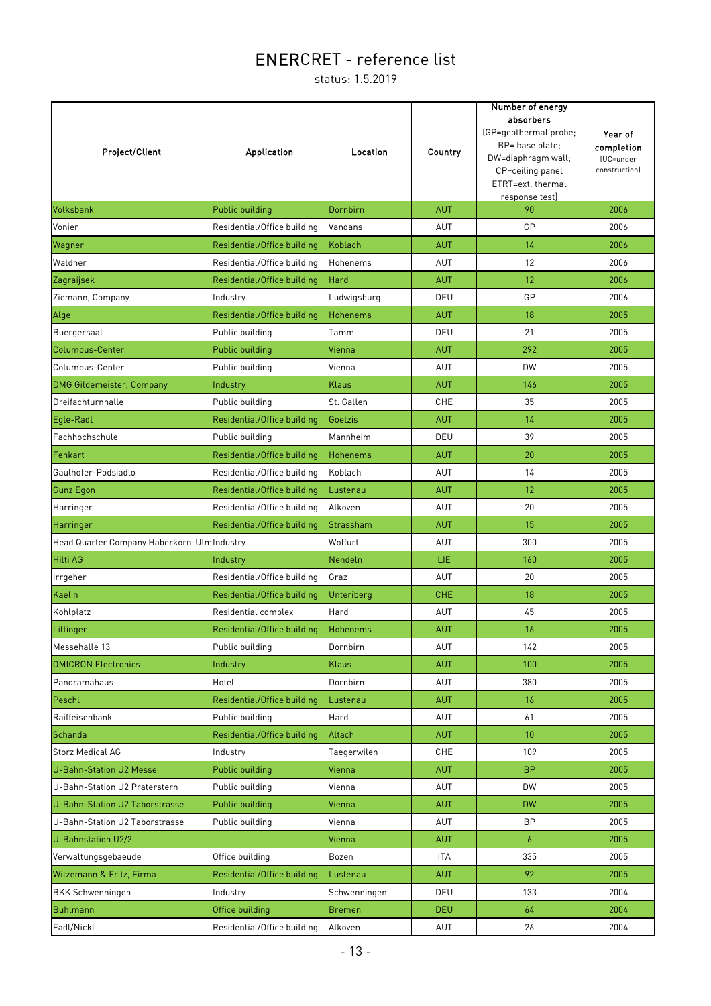| Project/Client                              | <b>Application</b>          | Location          | Country    | Number of energy<br>absorbers<br>(GP=geothermal probe;<br>BP= base plate;<br>DW=diaphragm wall;<br>CP=ceiling panel<br>ETRT=ext. thermal<br>response test) | Year of<br>completion<br>(UC=under<br>construction) |
|---------------------------------------------|-----------------------------|-------------------|------------|------------------------------------------------------------------------------------------------------------------------------------------------------------|-----------------------------------------------------|
| Volksbank                                   | Public building             | Dornbirn          | <b>AUT</b> | 90                                                                                                                                                         | 2006                                                |
| Vonier                                      | Residential/Office building | Vandans           | AUT        | GP                                                                                                                                                         | 2006                                                |
| Wagner                                      | Residential/Office building | Koblach           | <b>AUT</b> | 14                                                                                                                                                         | 2006                                                |
| Waldner                                     | Residential/Office building | Hohenems          | <b>AUT</b> | 12                                                                                                                                                         | 2006                                                |
| Zagraijsek                                  | Residential/Office building | Hard              | <b>AUT</b> | 12                                                                                                                                                         | 2006                                                |
| Ziemann, Company                            | Industry                    | Ludwigsburg       | DEU        | GP                                                                                                                                                         | 2006                                                |
| Alge                                        | Residential/Office building | <b>Hohenems</b>   | <b>AUT</b> | 18                                                                                                                                                         | 2005                                                |
| Buergersaal                                 | Public building             | Tamm              | DEU        | 21                                                                                                                                                         | 2005                                                |
| Columbus-Center                             | Public building             | Vienna            | <b>AUT</b> | 292                                                                                                                                                        | 2005                                                |
| Columbus-Center                             | Public building             | Vienna            | AUT        | <b>DW</b>                                                                                                                                                  | 2005                                                |
| <b>DMG Gildemeister, Company</b>            | Industry                    | Klaus             | <b>AUT</b> | 146                                                                                                                                                        | 2005                                                |
| Dreifachturnhalle                           | Public building             | St. Gallen        | CHE        | 35                                                                                                                                                         | 2005                                                |
| Egle-Radl                                   | Residential/Office building | Goetzis           | <b>AUT</b> | 14                                                                                                                                                         | 2005                                                |
| Fachhochschule                              | Public building             | Mannheim          | DEU        | 39                                                                                                                                                         | 2005                                                |
| Fenkart                                     | Residential/Office building | <b>Hohenems</b>   | <b>AUT</b> | 20                                                                                                                                                         | 2005                                                |
| Gaulhofer-Podsiadlo                         | Residential/Office building | Koblach           | AUT        | 14                                                                                                                                                         | 2005                                                |
| <b>Gunz Egon</b>                            | Residential/Office building | Lustenau          | <b>AUT</b> | 12                                                                                                                                                         | 2005                                                |
| Harringer                                   | Residential/Office building | Alkoven           | AUT        | 20                                                                                                                                                         | 2005                                                |
| Harringer                                   | Residential/Office building | Strassham         | <b>AUT</b> | 15                                                                                                                                                         | 2005                                                |
| Head Quarter Company Haberkorn-Ulm Industry |                             | Wolfurt           | AUT        | 300                                                                                                                                                        | 2005                                                |
| Hilti AG                                    | Industry                    | Nendeln           | <b>LIE</b> | 160                                                                                                                                                        | 2005                                                |
| Irrgeher                                    | Residential/Office building | Graz              | AUT        | 20                                                                                                                                                         | 2005                                                |
| Kaelin                                      | Residential/Office building | <b>Unteriberg</b> | <b>CHE</b> | 18                                                                                                                                                         | 2005                                                |
| Kohlplatz                                   | Residential complex         | Hard              | AUT        | 45                                                                                                                                                         | 2005                                                |
| Liftinger                                   | Residential/Office building | <b>Hohenems</b>   | <b>AUT</b> | 16                                                                                                                                                         | 2005                                                |
| Messehalle 13                               | Public building             | Dornbirn          | <b>AUT</b> | 142                                                                                                                                                        | 2005                                                |
| <b>OMICRON Electronics</b>                  | Industry                    | <b>Klaus</b>      | <b>AUT</b> | 100                                                                                                                                                        | 2005                                                |
| Panoramahaus                                | Hotel                       | Dornbirn          | AUT        | 380                                                                                                                                                        | 2005                                                |
| Peschl                                      | Residential/Office building | Lustenau          | <b>AUT</b> | 16                                                                                                                                                         | 2005                                                |
| Raiffeisenbank                              | Public building             | Hard              | AUT        | 61                                                                                                                                                         | 2005                                                |
| Schanda                                     | Residential/Office building | Altach            | <b>AUT</b> | 10 <sup>°</sup>                                                                                                                                            | 2005                                                |
| <b>Storz Medical AG</b>                     | Industry                    | Taegerwilen       | CHE        | 109                                                                                                                                                        | 2005                                                |
| <b>U-Bahn-Station U2 Messe</b>              | <b>Public building</b>      | Vienna            | <b>AUT</b> | BP                                                                                                                                                         | 2005                                                |
| U-Bahn-Station U2 Praterstern               | Public building             | Vienna            | <b>AUT</b> | DW                                                                                                                                                         | 2005                                                |
| U-Bahn-Station U2 Taborstrasse              | Public building             | Vienna            | <b>AUT</b> | <b>DW</b>                                                                                                                                                  | 2005                                                |
| U-Bahn-Station U2 Taborstrasse              | Public building             | Vienna            | AUT        | BP                                                                                                                                                         | 2005                                                |
| U-Bahnstation U2/2                          |                             | Vienna            | <b>AUT</b> | $\overline{6}$                                                                                                                                             | 2005                                                |
| Verwaltungsgebaeude                         | Office building             | Bozen             | ITA        | 335                                                                                                                                                        | 2005                                                |
| Witzemann & Fritz, Firma                    | Residential/Office building | Lustenau          | <b>AUT</b> | 92                                                                                                                                                         | 2005                                                |
| <b>BKK Schwenningen</b>                     | Industry                    | Schwenningen      | DEU        | 133                                                                                                                                                        | 2004                                                |
| <b>Buhlmann</b>                             | Office building             | <b>Bremen</b>     | <b>DEU</b> | 64                                                                                                                                                         | 2004                                                |
| Fadl/Nickl                                  | Residential/Office building | Alkoven           | AUT        | 26                                                                                                                                                         | 2004                                                |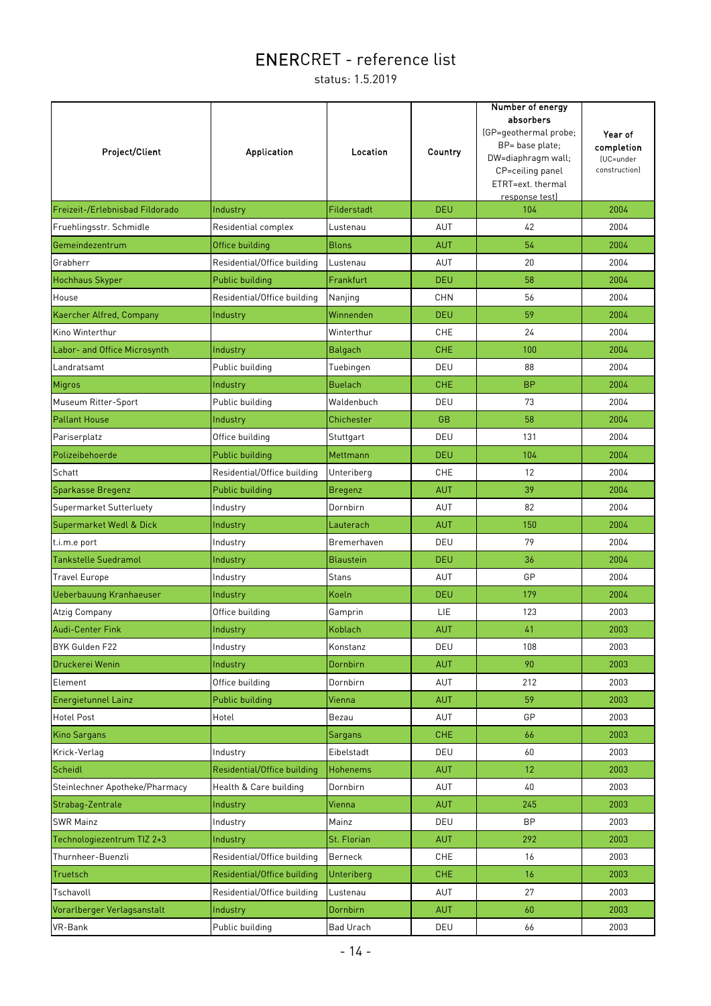| Project/Client                  | <b>Application</b>                      | Location         | Country                  | Number of energy<br>absorbers<br>(GP=geothermal probe;<br>BP= base plate;<br>DW=diaphragm wall;<br>CP=ceiling panel<br>ETRT=ext. thermal<br>response test) | Year of<br>completion<br>(UC=under<br>constructionl |
|---------------------------------|-----------------------------------------|------------------|--------------------------|------------------------------------------------------------------------------------------------------------------------------------------------------------|-----------------------------------------------------|
| Freizeit-/Erlebnisbad Fildorado | Industry                                | Filderstadt      | <b>DEU</b>               | 104                                                                                                                                                        | 2004                                                |
| Fruehlingsstr. Schmidle         | Residential complex                     | Lustenau         | AUT                      | 42                                                                                                                                                         | 2004                                                |
| Gemeindezentrum                 | Office building                         | <b>Blons</b>     | <b>AUT</b>               | 54                                                                                                                                                         | 2004                                                |
| Grabherr                        | Residential/Office building             | Lustenau         | <b>AUT</b>               | 20                                                                                                                                                         | 2004                                                |
| <b>Hochhaus Skyper</b>          | Public building                         | Frankfurt        | <b>DEU</b>               | 58                                                                                                                                                         | 2004                                                |
| House                           | Residential/Office building             | Nanjing          | <b>CHN</b>               | 56                                                                                                                                                         | 2004                                                |
| Kaercher Alfred, Company        | Industry                                | Winnenden        | <b>DEU</b>               | 59                                                                                                                                                         | 2004                                                |
| Kino Winterthur                 |                                         | Winterthur       | <b>CHE</b>               | 24                                                                                                                                                         | 2004                                                |
| Labor- and Office Microsynth    | Industry                                | <b>Balgach</b>   | <b>CHE</b>               | 100                                                                                                                                                        | 2004                                                |
| Landratsamt                     | Public building                         | Tuebingen        | DEU                      | 88                                                                                                                                                         | 2004                                                |
| Migros                          | Industry                                | <b>Buelach</b>   | <b>CHE</b>               | <b>BP</b>                                                                                                                                                  | 2004                                                |
| Museum Ritter-Sport             | Public building                         | Waldenbuch       | DEU                      | 73                                                                                                                                                         | 2004                                                |
| <b>Pallant House</b>            | Industry                                | Chichester       | <b>GB</b>                | 58                                                                                                                                                         | 2004                                                |
| Pariserplatz                    | Office building                         | Stuttgart        | DEU                      | 131                                                                                                                                                        | 2004                                                |
| Polizeibehoerde                 | Public building                         | Mettmann         | <b>DEU</b>               | 104                                                                                                                                                        | 2004                                                |
| Schatt                          | Residential/Office building             | Unteriberg       | <b>CHE</b>               | 12                                                                                                                                                         | 2004                                                |
| Sparkasse Bregenz               | Public building                         | <b>Bregenz</b>   | <b>AUT</b>               | 39                                                                                                                                                         | 2004                                                |
| Supermarket Sutterluety         | Industry                                | Dornbirn         | AUT                      | 82                                                                                                                                                         | 2004                                                |
| Supermarket Wedl & Dick         | Industry                                | Lauterach        | <b>AUT</b>               | 150                                                                                                                                                        | 2004                                                |
| t.i.m.e port                    | Industry                                | Bremerhaven      | DEU                      | 79                                                                                                                                                         | 2004                                                |
| <b>Tankstelle Suedramol</b>     | Industry                                | <b>Blaustein</b> | <b>DEU</b>               | 36                                                                                                                                                         | 2004                                                |
| <b>Travel Europe</b>            | Industry                                | <b>Stans</b>     | AUT                      | GP                                                                                                                                                         | 2004                                                |
| Ueberbauung Kranhaeuser         | Industry                                | Koeln            | <b>DEU</b>               | 179                                                                                                                                                        | 2004                                                |
| Atzig Company                   | Office building                         | Gamprin          | LIE                      | 123                                                                                                                                                        | 2003                                                |
| <b>Audi-Center Fink</b>         | Industry                                | Koblach          | <b>AUT</b>               | 41                                                                                                                                                         | 2003                                                |
| BYK Gulden F22                  | Industry                                | Konstanz         | DEU                      | 108                                                                                                                                                        | 2003                                                |
| Druckerei Wenin                 | Industry                                | Dornbirn         | <b>AUT</b>               | 90                                                                                                                                                         | 2003                                                |
| Element                         | Office building                         | Dornbirn         | <b>AUT</b>               | 212                                                                                                                                                        | 2003                                                |
| <b>Energietunnel Lainz</b>      | Public building                         | Vienna           | <b>AUT</b>               | 59                                                                                                                                                         | 2003                                                |
| <b>Hotel Post</b>               | Hotel                                   | Bezau            | AUT                      | GP                                                                                                                                                         | 2003                                                |
| <b>Kino Sargans</b>             |                                         | Sargans          | <b>CHE</b>               | 66                                                                                                                                                         | 2003                                                |
| Krick-Verlag                    | Industry                                | Eibelstadt       | DEU                      | 60                                                                                                                                                         | 2003                                                |
| Scheidl                         | Residential/Office building             | <b>Hohenems</b>  | <b>AUT</b>               | 12                                                                                                                                                         | 2003                                                |
| Steinlechner Apotheke/Pharmacy  | Health & Care building                  | Dornbirn         | AUT                      | 40                                                                                                                                                         | 2003                                                |
| Strabag-Zentrale                | Industry                                | Vienna           | <b>AUT</b>               | 245                                                                                                                                                        | 2003                                                |
| <b>SWR Mainz</b>                | Industry                                | Mainz            | DEU                      | BP                                                                                                                                                         | 2003                                                |
|                                 |                                         | St. Florian      |                          | 292                                                                                                                                                        | 2003                                                |
| Technologiezentrum TIZ 2+3      | Industry<br>Residential/Office building |                  | <b>AUT</b><br><b>CHE</b> | 16                                                                                                                                                         | 2003                                                |
| Thurnheer-Buenzli               |                                         | Berneck          |                          |                                                                                                                                                            |                                                     |
| Truetsch                        | Residential/Office building             | Unteriberg       | <b>CHE</b>               | 16                                                                                                                                                         | 2003                                                |
| Tschavoll                       | Residential/Office building             | Lustenau         | AUT                      | 27                                                                                                                                                         | 2003                                                |
| Vorarlberger Verlagsanstalt     | Industry                                | Dornbirn         | <b>AUT</b>               | 60                                                                                                                                                         | 2003                                                |
| VR-Bank                         | Public building                         | Bad Urach        | DEU                      | 66                                                                                                                                                         | 2003                                                |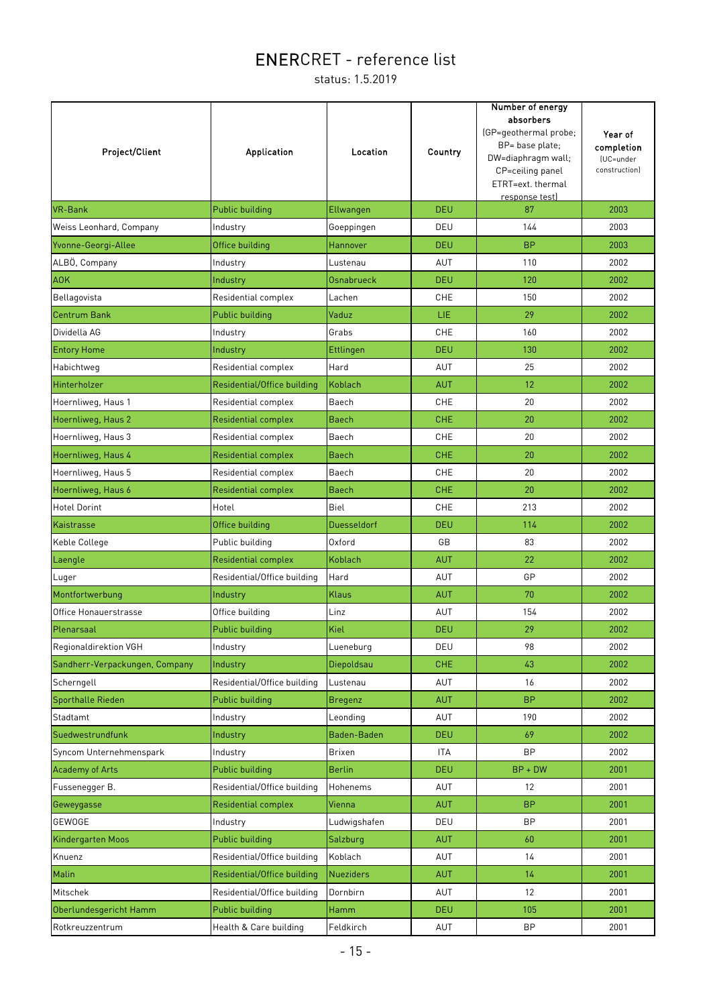| <b>Project/Client</b>          | <b>Application</b>          | Location           | Country    | Number of energy<br>absorbers<br>(GP=geothermal probe;<br>BP= base plate;<br>DW=diaphragm wall;<br>CP=ceiling panel<br>ETRT=ext. thermal<br>response test) | Year of<br>completion<br>(UC=under<br>construction) |
|--------------------------------|-----------------------------|--------------------|------------|------------------------------------------------------------------------------------------------------------------------------------------------------------|-----------------------------------------------------|
| <b>VR-Bank</b>                 | Public building             | Ellwangen          | <b>DEU</b> | 87                                                                                                                                                         | 2003                                                |
| Weiss Leonhard, Company        | Industry                    | Goeppingen         | DEU        | 144                                                                                                                                                        | 2003                                                |
| Yvonne-Georgi-Allee            | Office building             | Hannover           | <b>DEU</b> | <b>BP</b>                                                                                                                                                  | 2003                                                |
| ALBÖ, Company                  | Industry                    | Lustenau           | AUT        | 110                                                                                                                                                        | 2002                                                |
| <b>AOK</b>                     | Industry                    | Osnabrueck         | <b>DEU</b> | 120                                                                                                                                                        | 2002                                                |
| Bellagovista                   | Residential complex         | Lachen             | <b>CHE</b> | 150                                                                                                                                                        | 2002                                                |
| <b>Centrum Bank</b>            | <b>Public building</b>      | Vaduz              | LIE.       | 29                                                                                                                                                         | 2002                                                |
| Dividella AG                   | Industry                    | Grabs              | <b>CHE</b> | 160                                                                                                                                                        | 2002                                                |
| <b>Entory Home</b>             | Industry                    | Ettlingen          | <b>DEU</b> | 130                                                                                                                                                        | 2002                                                |
| Habichtweg                     | Residential complex         | Hard               | AUT        | 25                                                                                                                                                         | 2002                                                |
| Hinterholzer                   | Residential/Office building | Koblach            | <b>AUT</b> | 12                                                                                                                                                         | 2002                                                |
| Hoernliweg, Haus 1             | Residential complex         | Baech              | <b>CHE</b> | 20                                                                                                                                                         | 2002                                                |
| Hoernliweg, Haus 2             | Residential complex         | <b>Baech</b>       | <b>CHE</b> | 20                                                                                                                                                         | 2002                                                |
| Hoernliweg, Haus 3             | Residential complex         | Baech              | CHE        | 20                                                                                                                                                         | 2002                                                |
| Hoernliweg, Haus 4             | Residential complex         | <b>Baech</b>       | <b>CHE</b> | 20                                                                                                                                                         | 2002                                                |
| Hoernliweg, Haus 5             | Residential complex         | Baech              | <b>CHE</b> | 20                                                                                                                                                         | 2002                                                |
| Hoernliweg, Haus 6             | Residential complex         | <b>Baech</b>       | <b>CHE</b> | 20                                                                                                                                                         | 2002                                                |
| <b>Hotel Dorint</b>            | Hotel                       | Biel               | CHE        | 213                                                                                                                                                        | 2002                                                |
| Kaistrasse                     | Office building             | <b>Duesseldorf</b> | <b>DEU</b> | 114                                                                                                                                                        | 2002                                                |
| Keble College                  | Public building             | Oxford             | GB         | 83                                                                                                                                                         | 2002                                                |
| Laengle                        | <b>Residential complex</b>  | Koblach            | <b>AUT</b> | 22                                                                                                                                                         | 2002                                                |
| Luger                          | Residential/Office building | Hard               | AUT        | GP                                                                                                                                                         | 2002                                                |
| Montfortwerbung                | Industry                    | <b>Klaus</b>       | <b>AUT</b> | 70                                                                                                                                                         | 2002                                                |
| Office Honauerstrasse          | Office building             | Linz               | AUT        | 154                                                                                                                                                        | 2002                                                |
| Plenarsaal                     | Public building             | Kiel               | <b>DEU</b> | 29                                                                                                                                                         | 2002                                                |
| Regionaldirektion VGH          | Industry                    | Lueneburg          | DEU        | 98                                                                                                                                                         | 2002                                                |
| Sandherr-Verpackungen, Company | Industry                    | Diepoldsau         | <b>CHE</b> | 43                                                                                                                                                         | 2002                                                |
| Scherngell                     | Residential/Office building | Lustenau           | AUT        | 16                                                                                                                                                         | 2002                                                |
| <b>Sporthalle Rieden</b>       | Public building             | <b>Bregenz</b>     | <b>AUT</b> | <b>BP</b>                                                                                                                                                  | 2002                                                |
| Stadtamt                       | Industry                    | Leonding           | AUT        | 190                                                                                                                                                        | 2002                                                |
| Suedwestrundfunk               | Industry                    | Baden-Baden        | <b>DEU</b> | 69                                                                                                                                                         | 2002                                                |
| Syncom Unternehmenspark        | Industry                    | Brixen             | <b>ITA</b> | <b>BP</b>                                                                                                                                                  | 2002                                                |
| <b>Academy of Arts</b>         | <b>Public building</b>      | <b>Berlin</b>      | <b>DEU</b> | $BP + DW$                                                                                                                                                  | 2001                                                |
| Fussenegger B.                 | Residential/Office building | Hohenems           | AUT        | 12                                                                                                                                                         | 2001                                                |
| Geweygasse                     | <b>Residential complex</b>  | Vienna             | <b>AUT</b> | <b>BP</b>                                                                                                                                                  | 2001                                                |
| GEWOGE                         | Industry                    | Ludwigshafen       | DEU        | <b>BP</b>                                                                                                                                                  | 2001                                                |
| Kindergarten Moos              | Public building             | Salzburg           | <b>AUT</b> | 60                                                                                                                                                         | 2001                                                |
| Knuenz                         | Residential/Office building | Koblach            | AUT        | 14                                                                                                                                                         | 2001                                                |
| Malin                          | Residential/Office building | Nueziders          | <b>AUT</b> | 14                                                                                                                                                         | 2001                                                |
| Mitschek                       | Residential/Office building | Dornbirn           | AUT        | 12                                                                                                                                                         | 2001                                                |
| Oberlundesgericht Hamm         | <b>Public building</b>      | Hamm               | <b>DEU</b> | 105                                                                                                                                                        | 2001                                                |
| Rotkreuzzentrum                | Health & Care building      | Feldkirch          | AUT        | <b>BP</b>                                                                                                                                                  | 2001                                                |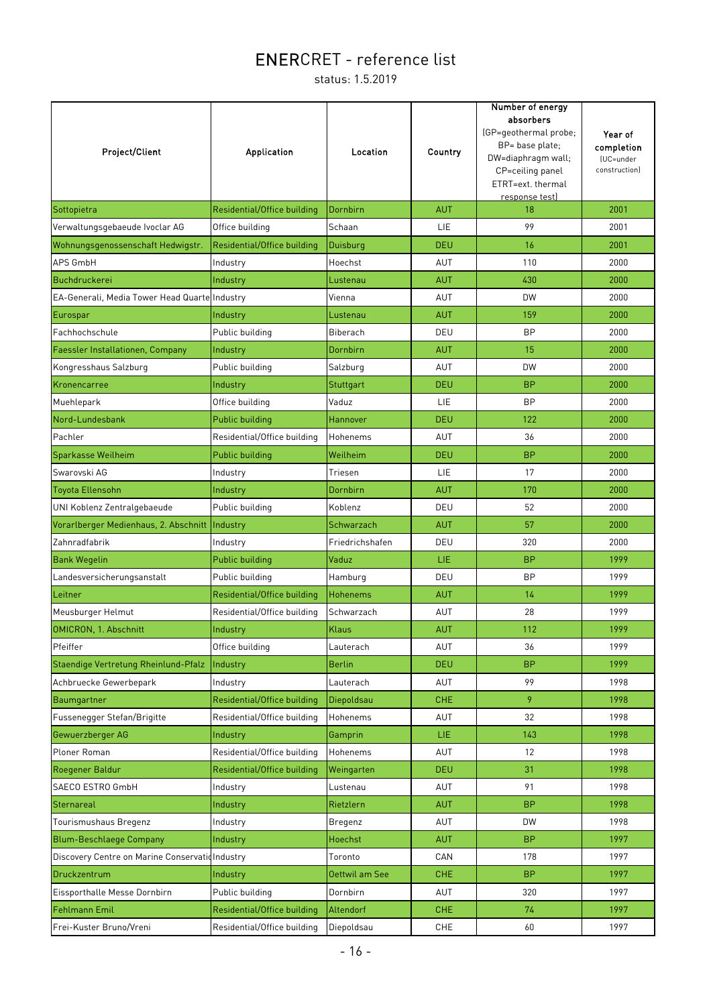| Project/Client                                 | Application                 | Location        | Country    | Number of energy<br>absorbers<br>(GP=geothermal probe;<br>BP= base plate;<br>DW=diaphragm wall;<br>CP=ceiling panel<br>ETRT=ext. thermal<br>response test) | Year of<br>completion<br>(UC=under<br>construction) |
|------------------------------------------------|-----------------------------|-----------------|------------|------------------------------------------------------------------------------------------------------------------------------------------------------------|-----------------------------------------------------|
| Sottopietra                                    | Residential/Office building | Dornbirn        | <b>AUT</b> | 18                                                                                                                                                         | 2001                                                |
| Verwaltungsgebaeude Ivoclar AG                 | Office building             | Schaan          | LIE        | 99                                                                                                                                                         | 2001                                                |
| Wohnungsgenossenschaft Hedwigstr.              | Residential/Office building | Duisburg        | <b>DEU</b> | 16                                                                                                                                                         | 2001                                                |
| APS GmbH                                       | Industry                    | Hoechst         | AUT        | 110                                                                                                                                                        | 2000                                                |
| Buchdruckerei                                  | Industry                    | Lustenau        | <b>AUT</b> | 430                                                                                                                                                        | 2000                                                |
| EA-Generali, Media Tower Head Quarte Industry  |                             | Vienna          | AUT        | <b>DW</b>                                                                                                                                                  | 2000                                                |
| Eurospar                                       | Industry                    | Lustenau        | <b>AUT</b> | 159                                                                                                                                                        | 2000                                                |
| Fachhochschule                                 | Public building             | Biberach        | DEU        | <b>BP</b>                                                                                                                                                  | 2000                                                |
| Faessler Installationen, Company               | Industry                    | Dornbirn        | <b>AUT</b> | 15                                                                                                                                                         | 2000                                                |
| Kongresshaus Salzburg                          | Public building             | Salzburg        | AUT        | <b>DW</b>                                                                                                                                                  | 2000                                                |
| Kronencarree                                   | Industry                    | Stuttgart       | <b>DEU</b> | <b>BP</b>                                                                                                                                                  | 2000                                                |
| Muehlepark                                     | Office building             | Vaduz           | <b>LIE</b> | <b>BP</b>                                                                                                                                                  | 2000                                                |
| Nord-Lundesbank                                | Public building             | <b>Hannover</b> | <b>DEU</b> | 122                                                                                                                                                        | 2000                                                |
| Pachler                                        | Residential/Office building | Hohenems        | AUT        | 36                                                                                                                                                         | 2000                                                |
| Sparkasse Weilheim                             | Public building             | Weilheim        | <b>DEU</b> | <b>BP</b>                                                                                                                                                  | 2000                                                |
| Swarovski AG                                   | Industry                    | Triesen         | LIE        | 17                                                                                                                                                         | 2000                                                |
| Toyota Ellensohn                               | Industry                    | Dornbirn        | <b>AUT</b> | 170                                                                                                                                                        | 2000                                                |
| UNI Koblenz Zentralgebaeude                    | Public building             | Koblenz         | DEU        | 52                                                                                                                                                         | 2000                                                |
| Vorarlberger Medienhaus, 2. Abschnitt          | Industry                    | Schwarzach      | <b>AUT</b> | 57                                                                                                                                                         | 2000                                                |
| Zahnradfabrik                                  | Industry                    | Friedrichshafen | DEU        | 320                                                                                                                                                        | 2000                                                |
| <b>Bank Wegelin</b>                            | Public building             | Vaduz           | LIE.       | <b>BP</b>                                                                                                                                                  | 1999                                                |
| Landesversicherungsanstalt                     | Public building             | Hamburg         | DEU        | <b>BP</b>                                                                                                                                                  | 1999                                                |
| Leitner                                        | Residential/Office building | <b>Hohenems</b> | <b>AUT</b> | 14                                                                                                                                                         | 1999                                                |
| Meusburger Helmut                              | Residential/Office building | Schwarzach      | <b>AUT</b> | 28                                                                                                                                                         | 1999                                                |
| <b>OMICRON, 1. Abschnitt</b>                   | Industry                    | <b>Klaus</b>    | <b>AUT</b> | 112                                                                                                                                                        | 1999                                                |
| Pfeiffer                                       | Office building             | Lauterach       | <b>AUT</b> | 36                                                                                                                                                         | 1999                                                |
| Staendige Vertretung Rheinlund-Pfalz           | Industry                    | <b>Berlin</b>   | <b>DEU</b> | <b>BP</b>                                                                                                                                                  | 1999                                                |
| Achbruecke Gewerbepark                         | Industry                    | Lauterach       | <b>AUT</b> | 99                                                                                                                                                         | 1998                                                |
| Baumgartner                                    | Residential/Office building | Diepoldsau      | <b>CHE</b> | 9                                                                                                                                                          | 1998                                                |
| Fussenegger Stefan/Brigitte                    | Residential/Office building | Hohenems        | AUT        | 32                                                                                                                                                         | 1998                                                |
| Gewuerzberger AG                               | Industry                    | Gamprin         | LIE.       | 143                                                                                                                                                        | 1998                                                |
| Ploner Roman                                   | Residential/Office building | Hohenems        | <b>AUT</b> | 12                                                                                                                                                         | 1998                                                |
| Roegener Baldur                                | Residential/Office building | Weingarten      | <b>DEU</b> | 31                                                                                                                                                         | 1998                                                |
| SAECO ESTRO GmbH                               | Industry                    | Lustenau        | <b>AUT</b> | 91                                                                                                                                                         | 1998                                                |
| Sternareal                                     | Industry                    | Rietzlern       | <b>AUT</b> | <b>BP</b>                                                                                                                                                  | 1998                                                |
| Tourismushaus Bregenz                          | Industry                    | Bregenz         | <b>AUT</b> | DW                                                                                                                                                         | 1998                                                |
| <b>Blum-Beschlaege Company</b>                 | Industry                    | Hoechst         | <b>AUT</b> | <b>BP</b>                                                                                                                                                  | 1997                                                |
| Discovery Centre on Marine Conservationndustry |                             | Toronto         | CAN        | 178                                                                                                                                                        | 1997                                                |
| Druckzentrum                                   | Industry                    | Oettwil am See  | CHE        | <b>BP</b>                                                                                                                                                  | 1997                                                |
| Eissporthalle Messe Dornbirn                   | Public building             | Dornbirn        | AUT        | 320                                                                                                                                                        | 1997                                                |
| Fehlmann Emil                                  | Residential/Office building | Altendorf       | <b>CHE</b> | 74                                                                                                                                                         | 1997                                                |
| Frei-Kuster Bruno/Vreni                        | Residential/Office building | Diepoldsau      | CHE        | 60                                                                                                                                                         | 1997                                                |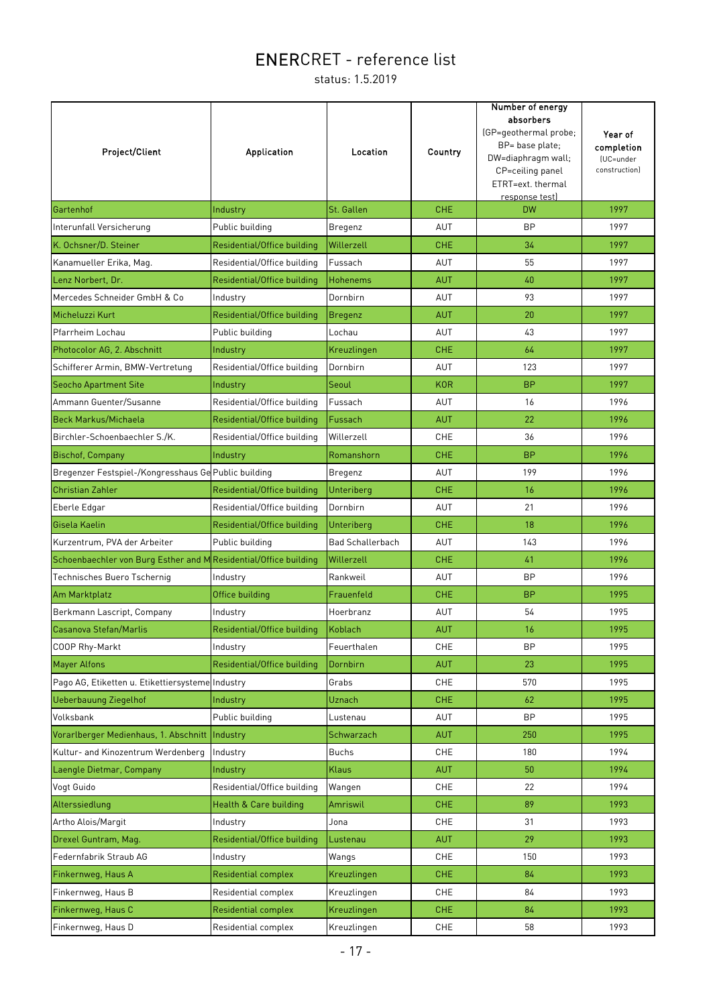| Project/Client                                                   | Application                 | Location                | Country    | Number of energy<br>absorbers<br>(GP=geothermal probe;<br>BP= base plate;<br>DW=diaphragm wall;<br>CP=ceiling panel<br>ETRT=ext. thermal<br>response test) | Year of<br>completion<br>(UC=under<br>constructionl |
|------------------------------------------------------------------|-----------------------------|-------------------------|------------|------------------------------------------------------------------------------------------------------------------------------------------------------------|-----------------------------------------------------|
| Gartenhof                                                        | Industry                    | St. Gallen              | <b>CHE</b> | <b>DW</b>                                                                                                                                                  | 1997                                                |
| Interunfall Versicherung                                         | Public building             | Bregenz                 | AUT        | <b>BP</b>                                                                                                                                                  | 1997                                                |
| K. Ochsner/D. Steiner                                            | Residential/Office building | Willerzell              | <b>CHE</b> | 34                                                                                                                                                         | 1997                                                |
| Kanamueller Erika, Mag.                                          | Residential/Office building | Fussach                 | AUT        | 55                                                                                                                                                         | 1997                                                |
| Lenz Norbert, Dr.                                                | Residential/Office building | <b>Hohenems</b>         | <b>AUT</b> | 40                                                                                                                                                         | 1997                                                |
| Mercedes Schneider GmbH & Co                                     | Industry                    | Dornbirn                | AUT        | 93                                                                                                                                                         | 1997                                                |
| Micheluzzi Kurt                                                  | Residential/Office building | Bregenz                 | <b>AUT</b> | 20                                                                                                                                                         | 1997                                                |
| Pfarrheim Lochau                                                 | Public building             | Lochau                  | AUT        | 43                                                                                                                                                         | 1997                                                |
| Photocolor AG, 2. Abschnitt                                      | Industry                    | Kreuzlingen             | <b>CHE</b> | 64                                                                                                                                                         | 1997                                                |
| Schifferer Armin, BMW-Vertretung                                 | Residential/Office building | Dornbirn                | AUT        | 123                                                                                                                                                        | 1997                                                |
| <b>Seocho Apartment Site</b>                                     | Industry                    | Seoul                   | <b>KOR</b> | <b>BP</b>                                                                                                                                                  | 1997                                                |
| Ammann Guenter/Susanne                                           | Residential/Office building | Fussach                 | AUT        | 16                                                                                                                                                         | 1996                                                |
| <b>Beck Markus/Michaela</b>                                      | Residential/Office building | Fussach                 | <b>AUT</b> | 22                                                                                                                                                         | 1996                                                |
| Birchler-Schoenbaechler S./K.                                    | Residential/Office building | Willerzell              | CHE        | 36                                                                                                                                                         | 1996                                                |
| Bischof, Company                                                 | Industry                    | Romanshorn              | <b>CHE</b> | <b>BP</b>                                                                                                                                                  | 1996                                                |
| Bregenzer Festspiel-/Kongresshaus Ge Public building             |                             | Bregenz                 | AUT        | 199                                                                                                                                                        | 1996                                                |
| <b>Christian Zahler</b>                                          | Residential/Office building | Unteriberg              | <b>CHE</b> | 16                                                                                                                                                         | 1996                                                |
| Eberle Edgar                                                     | Residential/Office building | Dornbirn                | AUT        | 21                                                                                                                                                         | 1996                                                |
| Gisela Kaelin                                                    | Residential/Office building | Unteriberg              | <b>CHE</b> | 18                                                                                                                                                         | 1996                                                |
| Kurzentrum, PVA der Arbeiter                                     | Public building             | <b>Bad Schallerbach</b> | AUT        | 143                                                                                                                                                        | 1996                                                |
| Schoenbaechler von Burg Esther and M Residential/Office building |                             | Willerzell              | <b>CHE</b> | 41                                                                                                                                                         | 1996                                                |
| Technisches Buero Tschernig                                      | Industry                    | Rankweil                | AUT        | <b>BP</b>                                                                                                                                                  | 1996                                                |
| Am Marktplatz                                                    | Office building             | Frauenfeld              | <b>CHE</b> | <b>BP</b>                                                                                                                                                  | 1995                                                |
| Berkmann Lascript, Company                                       | Industry                    | Hoerbranz               | <b>AUT</b> | 54                                                                                                                                                         | 1995                                                |
| Casanova Stefan/Marlis                                           | Residential/Office building | Koblach                 | <b>AUT</b> | 16                                                                                                                                                         | 1995                                                |
| COOP Rhy-Markt                                                   | Industry                    | Feuerthalen             | CHE        | <b>BP</b>                                                                                                                                                  | 1995                                                |
| <b>Mayer Alfons</b>                                              | Residential/Office building | Dornbirn                | <b>AUT</b> | 23                                                                                                                                                         | 1995                                                |
| Pago AG, Etiketten u. Etikettiersysteme Industry                 |                             | Grabs                   | <b>CHE</b> | 570                                                                                                                                                        | 1995                                                |
| <b>Ueberbauung Ziegelhof</b>                                     | Industry                    | Uznach                  | <b>CHE</b> | 62                                                                                                                                                         | 1995                                                |
| Volksbank                                                        | Public building             | Lustenau                | AUT        | <b>BP</b>                                                                                                                                                  | 1995                                                |
| Vorarlberger Medienhaus, 1. Abschnitt                            | Industry                    | Schwarzach              | <b>AUT</b> | 250                                                                                                                                                        | 1995                                                |
| Kultur- and Kinozentrum Werdenberg                               | Industry                    | <b>Buchs</b>            | CHE        | 180                                                                                                                                                        | 1994                                                |
| Laengle Dietmar, Company                                         | Industry                    | <b>Klaus</b>            | <b>AUT</b> | 50                                                                                                                                                         | 1994                                                |
| Vogt Guido                                                       | Residential/Office building | Wangen                  | CHE        | 22                                                                                                                                                         | 1994                                                |
| Alterssiedlung                                                   | Health & Care building      | Amriswil                | <b>CHE</b> | 89                                                                                                                                                         | 1993                                                |
| Artho Alois/Margit                                               | Industry                    | Jona                    | <b>CHE</b> | 31                                                                                                                                                         | 1993                                                |
| Drexel Guntram, Mag.                                             | Residential/Office building | Lustenau                | <b>AUT</b> | 29                                                                                                                                                         | 1993                                                |
| Federnfabrik Straub AG                                           | Industry                    | Wangs                   | CHE        | 150                                                                                                                                                        | 1993                                                |
| Finkernweg, Haus A                                               | <b>Residential complex</b>  | Kreuzlingen             | <b>CHE</b> | 84                                                                                                                                                         | 1993                                                |
| Finkernweg, Haus B                                               | Residential complex         | Kreuzlingen             | CHE        | 84                                                                                                                                                         | 1993                                                |
| Finkernweg, Haus C                                               | <b>Residential complex</b>  | Kreuzlingen             | <b>CHE</b> | 84                                                                                                                                                         | 1993                                                |
| Finkernweg, Haus D                                               | Residential complex         | Kreuzlingen             | CHE        | 58                                                                                                                                                         | 1993                                                |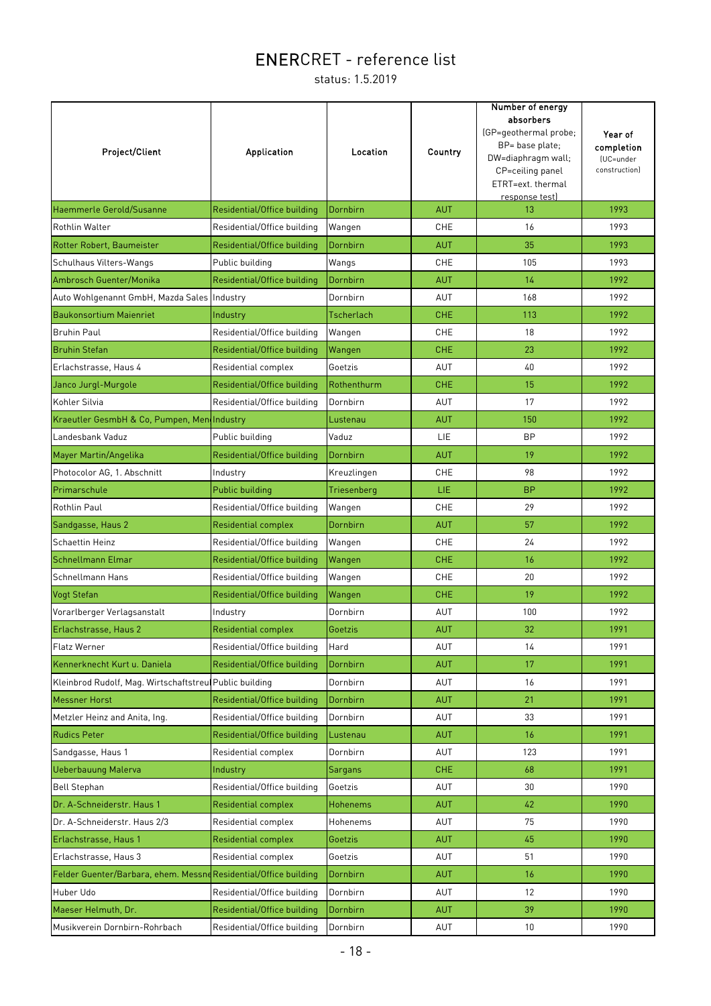| Project/Client                                                   | <b>Application</b>          | Location          | Country    | Number of energy<br>absorbers<br>(GP=geothermal probe;<br>BP= base plate;<br>DW=diaphragm wall;<br>CP=ceiling panel<br>ETRT=ext. thermal<br>response test) | Year of<br>completion<br>(UC=under<br>construction) |
|------------------------------------------------------------------|-----------------------------|-------------------|------------|------------------------------------------------------------------------------------------------------------------------------------------------------------|-----------------------------------------------------|
| Haemmerle Gerold/Susanne                                         | Residential/Office building | Dornbirn          | <b>AUT</b> | 13                                                                                                                                                         | 1993                                                |
| <b>Rothlin Walter</b>                                            | Residential/Office building | Wangen            | <b>CHE</b> | 16                                                                                                                                                         | 1993                                                |
| Rotter Robert, Baumeister                                        | Residential/Office building | Dornbirn          | <b>AUT</b> | 35                                                                                                                                                         | 1993                                                |
| Schulhaus Vilters-Wangs                                          | Public building             | Wangs             | <b>CHE</b> | 105                                                                                                                                                        | 1993                                                |
| Ambrosch Guenter/Monika                                          | Residential/Office building | Dornbirn          | <b>AUT</b> | 14                                                                                                                                                         | 1992                                                |
| Auto Wohlgenannt GmbH, Mazda Sales Industry                      |                             | Dornbirn          | AUT        | 168                                                                                                                                                        | 1992                                                |
| <b>Baukonsortium Maienriet</b>                                   | Industry                    | <b>Tscherlach</b> | <b>CHE</b> | 113                                                                                                                                                        | 1992                                                |
| <b>Bruhin Paul</b>                                               | Residential/Office building | Wangen            | <b>CHE</b> | 18                                                                                                                                                         | 1992                                                |
| <b>Bruhin Stefan</b>                                             | Residential/Office building | Wangen            | <b>CHE</b> | 23                                                                                                                                                         | 1992                                                |
| Erlachstrasse, Haus 4                                            | Residential complex         | Goetzis           | AUT        | 40                                                                                                                                                         | 1992                                                |
| Janco Jurgl-Murgole                                              | Residential/Office building | Rothenthurm       | <b>CHE</b> | 15                                                                                                                                                         | 1992                                                |
| Kohler Silvia                                                    | Residential/Office building | Dornbirn          | AUT        | 17                                                                                                                                                         | 1992                                                |
| Kraeutler GesmbH & Co, Pumpen, MendIndustry                      |                             | Lustenau          | <b>AUT</b> | 150                                                                                                                                                        | 1992                                                |
| Landesbank Vaduz                                                 | Public building             | Vaduz             | LIE        | <b>BP</b>                                                                                                                                                  | 1992                                                |
| Mayer Martin/Angelika                                            | Residential/Office building | Dornbirn          | <b>AUT</b> | 19                                                                                                                                                         | 1992                                                |
| Photocolor AG, 1. Abschnitt                                      | Industry                    | Kreuzlingen       | CHE        | 98                                                                                                                                                         | 1992                                                |
| Primarschule                                                     | Public building             | Triesenberg       | LIE.       | <b>BP</b>                                                                                                                                                  | 1992                                                |
| <b>Rothlin Paul</b>                                              | Residential/Office building | Wangen            | <b>CHE</b> | 29                                                                                                                                                         | 1992                                                |
| Sandgasse, Haus 2                                                | <b>Residential complex</b>  | Dornbirn          | <b>AUT</b> | 57                                                                                                                                                         | 1992                                                |
| <b>Schaettin Heinz</b>                                           | Residential/Office building | Wangen            | CHE        | 24                                                                                                                                                         | 1992                                                |
| Schnellmann Elmar                                                | Residential/Office building | Wangen            | <b>CHE</b> | 16                                                                                                                                                         | 1992                                                |
| Schnellmann Hans                                                 | Residential/Office building | Wangen            | <b>CHE</b> | 20                                                                                                                                                         | 1992                                                |
| Vogt Stefan                                                      | Residential/Office building | Wangen            | <b>CHE</b> | 19                                                                                                                                                         | 1992                                                |
| Vorarlberger Verlagsanstalt                                      | Industry                    | Dornbirn          | AUT        | 100                                                                                                                                                        | 1992                                                |
| Erlachstrasse, Haus 2                                            | <b>Residential complex</b>  | Goetzis           | <b>AUT</b> | 32                                                                                                                                                         | 1991                                                |
| <b>Flatz Werner</b>                                              | Residential/Office building | Hard              | AUT        | 14                                                                                                                                                         | 1991                                                |
| Kennerknecht Kurt u. Daniela                                     | Residential/Office building | Dornbirn          | <b>AUT</b> | 17                                                                                                                                                         | 1991                                                |
| Kleinbrod Rudolf, Mag. Wirtschaftstreul Public building          |                             | Dornbirn          | AUT        | 16                                                                                                                                                         | 1991                                                |
| <b>Messner Horst</b>                                             | Residential/Office building | Dornbirn          | <b>AUT</b> | 21                                                                                                                                                         | 1991                                                |
| Metzler Heinz and Anita, Ing.                                    | Residential/Office building | Dornbirn          | AUT        | 33                                                                                                                                                         | 1991                                                |
| <b>Rudics Peter</b>                                              | Residential/Office building | Lustenau          | <b>AUT</b> | 16                                                                                                                                                         | 1991                                                |
| Sandgasse, Haus 1                                                | Residential complex         | Dornbirn          | AUT        | 123                                                                                                                                                        | 1991                                                |
| <b>Ueberbauung Malerva</b>                                       | Industry                    | Sargans           | <b>CHE</b> | 68                                                                                                                                                         | 1991                                                |
| <b>Bell Stephan</b>                                              | Residential/Office building | Goetzis           | AUT        | 30                                                                                                                                                         | 1990                                                |
| Dr. A-Schneiderstr. Haus 1                                       | <b>Residential complex</b>  | <b>Hohenems</b>   | <b>AUT</b> | 42                                                                                                                                                         | 1990                                                |
| Dr. A-Schneiderstr. Haus 2/3                                     | Residential complex         | Hohenems          | <b>AUT</b> | 75                                                                                                                                                         | 1990                                                |
| Erlachstrasse, Haus 1                                            | <b>Residential complex</b>  | Goetzis           | <b>AUT</b> | 45                                                                                                                                                         | 1990                                                |
| Erlachstrasse, Haus 3                                            | Residential complex         | Goetzis           | AUT        | 51                                                                                                                                                         | 1990                                                |
| Felder Guenter/Barbara, ehem. Messne Residential/Office building |                             | Dornbirn          | <b>AUT</b> | 16                                                                                                                                                         | 1990                                                |
| Huber Udo                                                        | Residential/Office building | Dornbirn          | AUT        | 12                                                                                                                                                         | 1990                                                |
| Maeser Helmuth, Dr.                                              | Residential/Office building | Dornbirn          | <b>AUT</b> | 39                                                                                                                                                         | 1990                                                |
| Musikverein Dornbirn-Rohrbach                                    | Residential/Office building | Dornbirn          | AUT        | 10                                                                                                                                                         | 1990                                                |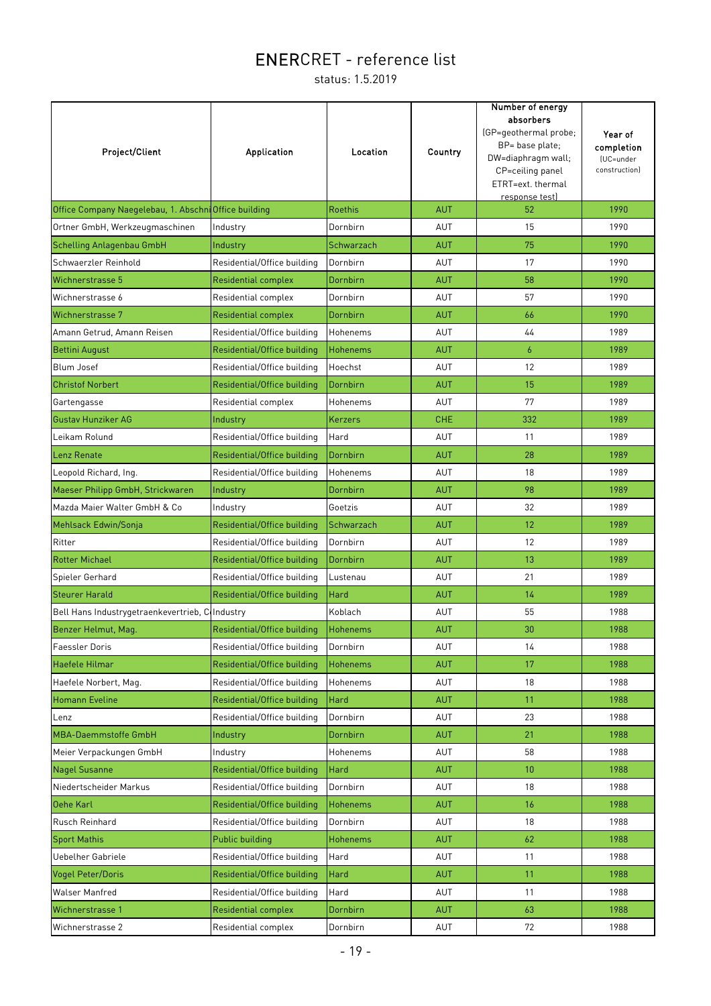| Project/Client                                        | Application                 | Location        | Country    | Number of energy<br>absorbers<br>(GP=geothermal probe;<br>BP= base plate;<br>DW=diaphragm wall;<br>CP=ceiling panel<br>ETRT=ext. thermal<br>response test) | Year of<br>completion<br>(UC=under<br>construction) |
|-------------------------------------------------------|-----------------------------|-----------------|------------|------------------------------------------------------------------------------------------------------------------------------------------------------------|-----------------------------------------------------|
| Office Company Naegelebau, 1. Abschni Office building |                             | <b>Roethis</b>  | <b>AUT</b> | 52                                                                                                                                                         | 1990                                                |
| Ortner GmbH, Werkzeugmaschinen                        | Industry                    | Dornbirn        | AUT        | 15                                                                                                                                                         | 1990                                                |
| <b>Schelling Anlagenbau GmbH</b>                      | Industry                    | Schwarzach      | <b>AUT</b> | 75                                                                                                                                                         | 1990                                                |
| Schwaerzler Reinhold                                  | Residential/Office building | Dornbirn        | <b>AUT</b> | 17                                                                                                                                                         | 1990                                                |
| Wichnerstrasse 5                                      | <b>Residential complex</b>  | Dornbirn        | <b>AUT</b> | 58                                                                                                                                                         | 1990                                                |
| Wichnerstrasse 6                                      | Residential complex         | Dornbirn        | AUT        | 57                                                                                                                                                         | 1990                                                |
| Wichnerstrasse 7                                      | <b>Residential complex</b>  | Dornbirn        | <b>AUT</b> | 66                                                                                                                                                         | 1990                                                |
| Amann Getrud, Amann Reisen                            | Residential/Office building | Hohenems        | <b>AUT</b> | 44                                                                                                                                                         | 1989                                                |
| <b>Bettini August</b>                                 | Residential/Office building | <b>Hohenems</b> | <b>AUT</b> | $\boldsymbol{6}$                                                                                                                                           | 1989                                                |
| Blum Josef                                            | Residential/Office building | Hoechst         | AUT        | 12                                                                                                                                                         | 1989                                                |
| <b>Christof Norbert</b>                               | Residential/Office building | Dornbirn        | <b>AUT</b> | 15                                                                                                                                                         | 1989                                                |
| Gartengasse                                           | Residential complex         | Hohenems        | <b>AUT</b> | 77                                                                                                                                                         | 1989                                                |
| <b>Gustav Hunziker AG</b>                             | Industry                    | Kerzers         | <b>CHE</b> | 332                                                                                                                                                        | 1989                                                |
| Leikam Rolund                                         | Residential/Office building | Hard            | <b>AUT</b> | 11                                                                                                                                                         | 1989                                                |
| Lenz Renate                                           | Residential/Office building | Dornbirn        | <b>AUT</b> | 28                                                                                                                                                         | 1989                                                |
| Leopold Richard, Ing.                                 | Residential/Office building | Hohenems        | AUT        | 18                                                                                                                                                         | 1989                                                |
| Maeser Philipp GmbH, Strickwaren                      | Industry                    | Dornbirn        | <b>AUT</b> | 98                                                                                                                                                         | 1989                                                |
| Mazda Maier Walter GmbH & Co                          | Industry                    | Goetzis         | AUT        | 32                                                                                                                                                         | 1989                                                |
| Mehlsack Edwin/Sonja                                  | Residential/Office building | Schwarzach      | <b>AUT</b> | 12                                                                                                                                                         | 1989                                                |
| Ritter                                                | Residential/Office building | Dornbirn        | AUT        | 12                                                                                                                                                         | 1989                                                |
| <b>Rotter Michael</b>                                 | Residential/Office building | Dornbirn        | <b>AUT</b> | 13                                                                                                                                                         | 1989                                                |
| Spieler Gerhard                                       | Residential/Office building | Lustenau        | AUT        | 21                                                                                                                                                         | 1989                                                |
| <b>Steurer Harald</b>                                 | Residential/Office building | Hard            | <b>AUT</b> | 14                                                                                                                                                         | 1989                                                |
| Bell Hans Industrygetraenkevertrieb, CoIndustry       |                             | Koblach         | AUT        | 55                                                                                                                                                         | 1988                                                |
| Benzer Helmut, Mag.                                   | Residential/Office building | <b>Hohenems</b> | <b>AUT</b> | 30                                                                                                                                                         | 1988                                                |
| <b>Faessler Doris</b>                                 | Residential/Office building | Dornbirn        | <b>AUT</b> | 14                                                                                                                                                         | 1988                                                |
| Haefele Hilmar                                        | Residential/Office building | <b>Hohenems</b> | <b>AUT</b> | 17                                                                                                                                                         | 1988                                                |
| Haefele Norbert, Mag.                                 | Residential/Office building | Hohenems        | AUT        | 18                                                                                                                                                         | 1988                                                |
| Homann Eveline                                        | Residential/Office building | Hard            | <b>AUT</b> | 11                                                                                                                                                         | 1988                                                |
| Lenz                                                  | Residential/Office building | Dornbirn        | AUT        | 23                                                                                                                                                         | 1988                                                |
| <b>MBA-Daemmstoffe GmbH</b>                           | Industry                    | Dornbirn        | <b>AUT</b> | 21                                                                                                                                                         | 1988                                                |
| Meier Verpackungen GmbH                               | Industry                    | Hohenems        | AUT        | 58                                                                                                                                                         | 1988                                                |
| <b>Nagel Susanne</b>                                  | Residential/Office building | Hard            | <b>AUT</b> | 10 <sup>°</sup>                                                                                                                                            | 1988                                                |
| Niedertscheider Markus                                | Residential/Office building | Dornbirn        | <b>AUT</b> | 18                                                                                                                                                         | 1988                                                |
| Oehe Karl                                             | Residential/Office building | <b>Hohenems</b> | <b>AUT</b> | 16                                                                                                                                                         | 1988                                                |
| Rusch Reinhard                                        | Residential/Office building | Dornbirn        | AUT        | 18                                                                                                                                                         | 1988                                                |
| <b>Sport Mathis</b>                                   | Public building             | <b>Hohenems</b> | <b>AUT</b> | 62                                                                                                                                                         | 1988                                                |
| Uebelher Gabriele                                     | Residential/Office building | Hard            | AUT        | 11                                                                                                                                                         | 1988                                                |
| <b>Vogel Peter/Doris</b>                              | Residential/Office building | Hard            | <b>AUT</b> | 11                                                                                                                                                         | 1988                                                |
| Walser Manfred                                        | Residential/Office building | Hard            | AUT        | 11                                                                                                                                                         | 1988                                                |
| Wichnerstrasse 1                                      | <b>Residential complex</b>  | Dornbirn        | <b>AUT</b> | 63                                                                                                                                                         | 1988                                                |
| Wichnerstrasse 2                                      | Residential complex         | Dornbirn        | AUT        | 72                                                                                                                                                         | 1988                                                |